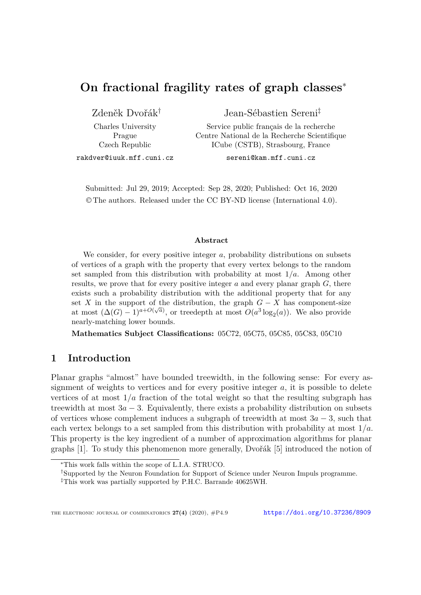# **On fractional fragility rates of graph classes**<sup>∗</sup>

Zdeněk Dvořák†

Charles University Prague Czech Republic

Jean-Sébastien Sereni‡

Service public français de la recherche Centre National de la Recherche Scientifique ICube (CSTB), Strasbourg, France

rakdver@iuuk.mff.cuni.cz

sereni@kam.mff.cuni.cz

Submitted: Jul 29, 2019; Accepted: Sep 28, 2020; Published: Oct 16, 2020 © The authors. Released under the CC BY-ND license (International 4.0).

#### **Abstract**

We consider, for every positive integer *a*, probability distributions on subsets of vertices of a graph with the property that every vertex belongs to the random set sampled from this distribution with probability at most 1*/a*. Among other results, we prove that for every positive integer *a* and every planar graph *G*, there exists such a probability distribution with the additional property that for any set *X* in the support of the distribution, the graph  $G - X$  has component-size at most  $(\Delta(G) - 1)^{a + O(\sqrt{a})}$ , or treedepth at most  $O(a^3 \log_2(a))$ . We also provide nearly-matching lower bounds.

**Mathematics Subject Classifications:** 05C72, 05C75, 05C85, 05C83, 05C10

# **1 Introduction**

Planar graphs "almost" have bounded treewidth, in the following sense: For every assignment of weights to vertices and for every positive integer *a*, it is possible to delete vertices of at most  $1/a$  fraction of the total weight so that the resulting subgraph has treewidth at most  $3a - 3$ . Equivalently, there exists a probability distribution on subsets of vertices whose complement induces a subgraph of treewidth at most 3*a* − 3, such that each vertex belongs to a set sampled from this distribution with probability at most 1*/a*. This property is the key ingredient of a number of approximation algorithms for planar graphs [\[1\]](#page-25-0). To study this phenomenon more generally, Dvořák [\[5\]](#page-25-1) introduced the notion of

<sup>∗</sup>This work falls within the scope of L.I.A. STRUCO.

<sup>†</sup>Supported by the Neuron Foundation for Support of Science under Neuron Impuls programme.

<sup>‡</sup>This work was partially supported by P.H.C. Barrande 40625WH.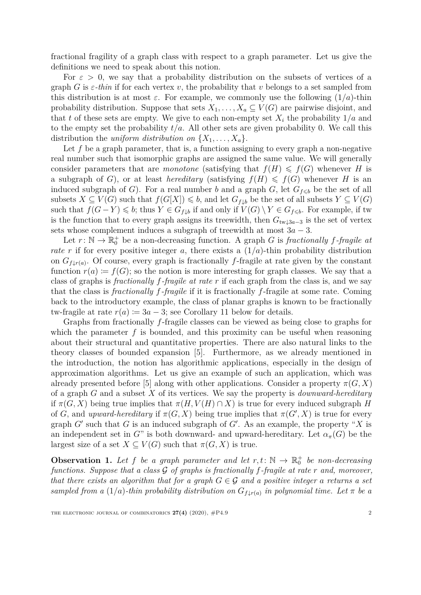fractional fragility of a graph class with respect to a graph parameter. Let us give the definitions we need to speak about this notion.

For  $\varepsilon > 0$ , we say that a probability distribution on the subsets of vertices of a graph *G* is  $\varepsilon$ -thin if for each vertex *v*, the probability that *v* belongs to a set sampled from this distribution is at most  $\varepsilon$ . For example, we commonly use the following  $(1/a)$ -thin probability distribution. Suppose that sets  $X_1, \ldots, X_a \subseteq V(G)$  are pairwise disjoint, and that *t* of these sets are empty. We give to each non-empty set  $X_i$  the probability  $1/a$  and to the empty set the probability  $t/a$ . All other sets are given probability 0. We call this distribution the *uniform distribution on*  $\{X_1, \ldots, X_a\}$ .

Let f be a graph parameter, that is, a function assigning to every graph a non-negative real number such that isomorphic graphs are assigned the same value. We will generally consider parameters that are *monotone* (satisfying that  $f(H) \leq f(G)$  whenever *H* is a subgraph of *G*), or at least *hereditary* (satisfying  $f(H) \leq f(G)$  whenever *H* is an induced subgraph of *G*). For a real number *b* and a graph *G*, let  $G_{f \leq b}$  be the set of all subsets  $X \subseteq V(G)$  such that  $f(G[X]) \leq b$ , and let  $G_{f\downarrow b}$  be the set of all subsets  $Y \subseteq V(G)$ such that  $f(G - Y) \leq b$ ; thus  $Y \in G_{f\downarrow b}$  if and only if  $V(G) \setminus Y \in G_{f\leq b}$ . For example, if two is the function that to every graph assigns its treewidth, then  $G_{tw\perp 3a-3}$  is the set of vertex sets whose complement induces a subgraph of treewidth at most  $3a - 3$ .

Let  $r: \mathbb{N} \to \mathbb{R}_0^+$  be a non-decreasing function. A graph *G* is *fractionally f*-*fragile* at *rate r* if for every positive integer *a*, there exists a  $(1/a)$ -thin probability distribution on  $G_{f\downarrow r(a)}$ . Of course, every graph is fractionally *f*-fragile at rate given by the constant function  $r(a) := f(G)$ ; so the notion is more interesting for graph classes. We say that a class of graphs is *fractionally f-fragile at rate r* if each graph from the class is, and we say that the class is *fractionally f-fragile* if it is fractionally *f*-fragile at some rate. Coming back to the introductory example, the class of planar graphs is known to be fractionally tw-fragile at rate  $r(a) := 3a - 3$ ; see Corollary [11](#page-7-0) below for details.

Graphs from fractionally *f*-fragile classes can be viewed as being close to graphs for which the parameter f is bounded, and this proximity can be useful when reasoning about their structural and quantitative properties. There are also natural links to the theory classes of bounded expansion [\[5\]](#page-25-1). Furthermore, as we already mentioned in the introduction, the notion has algorithmic applications, especially in the design of approximation algorithms. Let us give an example of such an application, which was already presented before [\[5\]](#page-25-1) along with other applications. Consider a property  $\pi(G, X)$ of a graph *G* and a subset *X* of its vertices. We say the property is *downward-hereditary* if  $\pi(G, X)$  being true implies that  $\pi(H, V(H) \cap X)$  is true for every induced subgraph *H* of *G*, and *upward-hereditary* if  $\pi(G, X)$  being true implies that  $\pi(G', X)$  is true for every graph  $G'$  such that  $G$  is an induced subgraph of  $G'$ . As an example, the property " $X$  is an independent set in  $G^{\prime\prime}$  is both downward- and upward-hereditary. Let  $\alpha_{\pi}(G)$  be the largest size of a set  $X \subseteq V(G)$  such that  $\pi(G, X)$  is true.

<span id="page-1-0"></span>**Observation 1.** Let f be a graph parameter and let  $r, t: \mathbb{N} \to \mathbb{R}^+_0$  be non-decreasing *functions. Suppose that a class* G *of graphs is fractionally f-fragile at rate r and, moreover, that there exists an algorithm that for a graph*  $G \in \mathcal{G}$  *and a positive integer a returns a set sampled from a*  $(1/a)$ *-thin probability distribution on*  $G_{f\downarrow r(a)}$  *in polynomial time. Let*  $\pi$  *be a*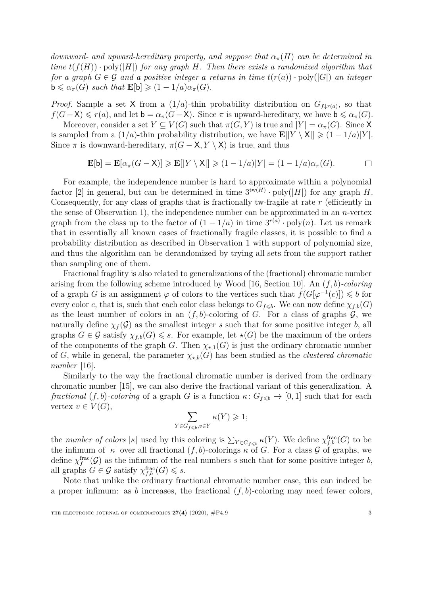*downward- and upward-hereditary property, and suppose that*  $\alpha_{\pi}(H)$  *can be determined in time*  $t(f(H)) \cdot \text{poly}(|H|)$  *for any graph H. Then there exists a randomized algorithm that for a graph*  $G \in \mathcal{G}$  *and a positive integer a returns in time*  $t(r(a)) \cdot \text{poly}(|G|)$  *an integer*  $\mathbf{b} \leq \alpha_{\pi}(G)$  *such that*  $\mathbf{E}[\mathbf{b}] \geq (1 - 1/a)\alpha_{\pi}(G)$ .

*Proof.* Sample a set X from a  $(1/a)$ -thin probability distribution on  $G_{f\downarrow r(a)}$ , so that  $f(G-X) \leq r(a)$ , and let  $\mathbf{b} = \alpha_{\pi}(G-X)$ . Since  $\pi$  is upward-hereditary, we have  $\mathbf{b} \leq \alpha_{\pi}(G)$ .

Moreover, consider a set  $Y \subseteq V(G)$  such that  $\pi(G, Y)$  is true and  $|Y| = \alpha_{\pi}(G)$ . Since X is sampled from a  $(1/a)$ -thin probability distribution, we have  $\mathbf{E}[|Y \setminus \mathbf{X}|] \geq (1 - 1/a)|Y|$ . Since  $\pi$  is downward-hereditary,  $\pi(G - X, Y \setminus X)$  is true, and thus

> $\mathbf{E}[\mathbf{b}] = \mathbf{E}[\alpha_\pi(G - \mathsf{X})] \geqslant \mathbf{E}[|Y \setminus \mathsf{X}|] \geqslant (1 - 1/a)|Y| = (1 - 1/a)\alpha_\pi(G).$  $\Box$

For example, the independence number is hard to approximate within a polynomial factor [\[2\]](#page-25-2) in general, but can be determined in time  $3^{tw(H)} \cdot poly(|H|)$  for any graph *H*. Consequently, for any class of graphs that is fractionally tw-fragile at rate *r* (efficiently in the sense of Observation [1\)](#page-1-0), the independence number can be approximated in an *n*-vertex graph from the class up to the factor of  $(1 - 1/a)$  in time  $3^{r(a)} \cdot \text{poly}(n)$ . Let us remark that in essentially all known cases of fractionally fragile classes, it is possible to find a probability distribution as described in Observation [1](#page-1-0) with support of polynomial size, and thus the algorithm can be derandomized by trying all sets from the support rather than sampling one of them.

Fractional fragility is also related to generalizations of the (fractional) chromatic number arising from the following scheme introduced by Wood [\[16,](#page-26-0) Section 10]. An (*f, b*)*-coloring* of a graph *G* is an assignment  $\varphi$  of colors to the vertices such that  $f(G[\varphi^{-1}(c)]) \leq b$  for every color *c*, that is, such that each color class belongs to  $G_{f \leq b}$ . We can now define  $\chi_{f,b}(G)$ as the least number of colors in an  $(f, b)$ -coloring of *G*. For a class of graphs  $\mathcal{G}$ , we naturally define  $\chi_f(\mathcal{G})$  as the smallest integer *s* such that for some positive integer *b*, all graphs  $G \in \mathcal{G}$  satisfy  $\chi_{f,b}(G) \leq s$ . For example, let  $\star(G)$  be the maximum of the orders of the components of the graph *G*. Then  $\chi_{\star,1}(G)$  is just the ordinary chromatic number of *G*, while in general, the parameter  $\chi_{\star,b}(G)$  has been studied as the *clustered chromatic number* [\[16\]](#page-26-0).

Similarly to the way the fractional chromatic number is derived from the ordinary chromatic number [\[15\]](#page-26-1), we can also derive the fractional variant of this generalization. A *fractional*  $(f, b)$ *-coloring* of a graph *G* is a function  $\kappa$ :  $G_{f \leq b} \to [0, 1]$  such that for each vertex  $v \in V(G)$ ,

$$
\sum_{Y \in G_{f \leqslant b}, v \in Y} \kappa(Y) \geqslant 1;
$$

the *number of colors*  $|\kappa|$  used by this coloring is  $\sum_{Y \in G_{f \leqslant b}} \kappa(Y)$ . We define  $\chi_{f,b}^{\text{frac}}(G)$  to be the infimum of  $|\kappa|$  over all fractional  $(f, b)$ -colorings  $\kappa$  of *G*. For a class *G* of graphs, we define  $\chi_f^{\text{frac}}(\mathcal{G})$  as the infimum of the real numbers *s* such that for some positive integer *b*, all graphs  $G \in \mathcal{G}$  satisfy  $\chi_{f,b}^{\text{frac}}(G) \leq s$ .

Note that unlike the ordinary fractional chromatic number case, this can indeed be a proper infimum: as *b* increases, the fractional  $(f, b)$ -coloring may need fewer colors,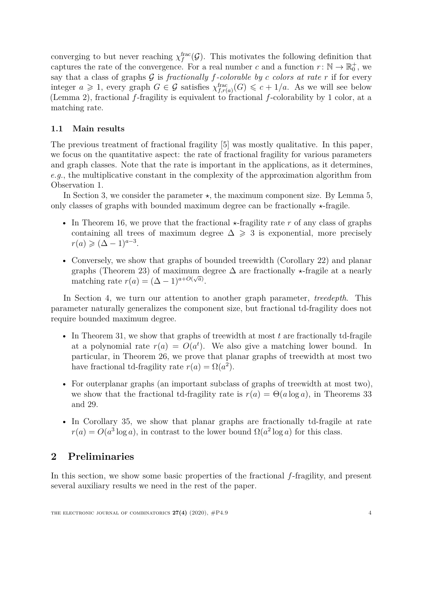converging to but never reaching  $\chi_f^{\text{frac}}(\mathcal{G})$ . This motivates the following definition that captures the rate of the convergence. For a real number *c* and a function  $r: \mathbb{N} \to \mathbb{R}_0^+$ , we say that a class of graphs  $G$  is *fractionally*  $f$ *-colorable by*  $c$  *colors at rate*  $r$  if for every integer  $a \geq 1$ , every graph  $G \in \mathcal{G}$  satisfies  $\chi_{f,r(a)}^{\text{frac}}(G) \leqslant c + 1/a$ . As we will see below (Lemma [2\)](#page-4-0), fractional *f*-fragility is equivalent to fractional *f*-colorability by 1 color, at a matching rate.

### **1.1 Main results**

The previous treatment of fractional fragility [\[5\]](#page-25-1) was mostly qualitative. In this paper, we focus on the quantitative aspect: the rate of fractional fragility for various parameters and graph classes. Note that the rate is important in the applications, as it determines, *e.g.*, the multiplicative constant in the complexity of the approximation algorithm from Observation [1.](#page-1-0)

In Section [3,](#page-8-0) we consider the parameter  $\star$ , the maximum component size. By Lemma [5,](#page-5-0) only classes of graphs with bounded maximum degree can be fractionally  $\star$ -fragile.

- In Theorem [16,](#page-9-0) we prove that the fractional  $\star$ -fragility rate r of any class of graphs containing all trees of maximum degree  $\Delta \geq 3$  is exponential, more precisely  $r(a) \geqslant (\Delta - 1)^{a-3}.$
- Conversely, we show that graphs of bounded treewidth (Corollary [22\)](#page-14-0) and planar graphs (Theorem [23\)](#page-14-1) of maximum degree  $\Delta$  are fractionally  $\star$ -fragile at a nearly matching rate  $r(a) = (\Delta - 1)^{a+O(\sqrt{a})}$ .

In Section [4,](#page-15-0) we turn our attention to another graph parameter, *treedepth*. This parameter naturally generalizes the component size, but fractional td-fragility does not require bounded maximum degree.

- In Theorem [31,](#page-21-0) we show that graphs of treewidth at most t are fractionally td-fragile at a polynomial rate  $r(a) = O(a^t)$ . We also give a matching lower bound. In particular, in Theorem [26,](#page-18-0) we prove that planar graphs of treewidth at most two have fractional td-fragility rate  $r(a) = \Omega(a^2)$ .
- For outerplanar graphs (an important subclass of graphs of treewidth at most two), we show that the fractional td-fragility rate is  $r(a) = \Theta(a \log a)$ , in Theorems [33](#page-23-0) and [29.](#page-20-0)
- In Corollary [35,](#page-23-1) we show that planar graphs are fractionally td-fragile at rate  $r(a) = O(a^3 \log a)$ , in contrast to the lower bound  $\Omega(a^2 \log a)$  for this class.

# **2 Preliminaries**

In this section, we show some basic properties of the fractional *f*-fragility, and present several auxiliary results we need in the rest of the paper.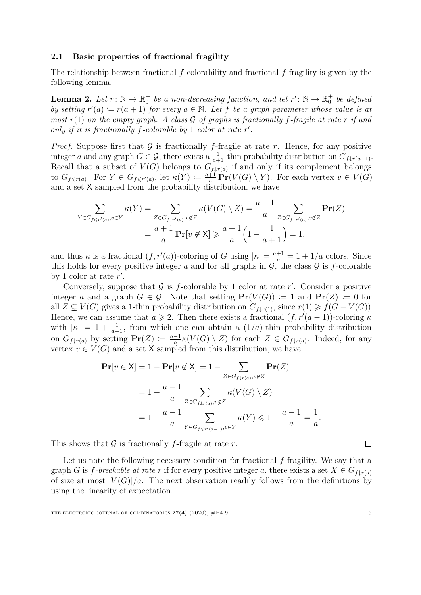#### **2.1 Basic properties of fractional fragility**

The relationship between fractional *f*-colorability and fractional *f*-fragility is given by the following lemma.

<span id="page-4-0"></span>**Lemma 2.** Let  $r: \mathbb{N} \to \mathbb{R}_0^+$  be a non-decreasing function, and let  $r': \mathbb{N} \to \mathbb{R}_0^+$  be defined *by setting*  $r'(a) := r(a+1)$  *for every*  $a \in \mathbb{N}$ *. Let f be a graph parameter whose value is at most*  $r(1)$  *on the empty graph.* A class  $\mathcal G$  *of graphs is fractionally* f-fragile at rate  $r$  *if and* only if it is fractionally  $f$ -colorable by  $1$  color at rate  $r'$ .

*Proof.* Suppose first that  $G$  is fractionally *f*-fragile at rate *r*. Hence, for any positive integer *a* and any graph  $G \in \mathcal{G}$ , there exists a  $\frac{1}{a+1}$ -thin probability distribution on  $G_{f\downarrow r(a+1)}$ . Recall that a subset of  $V(G)$  belongs to  $G_{f\downarrow r(a)}$  if and only if its complement belongs to  $G_{f \leq r(a)}$ . For  $Y \in G_{f \leq r'(a)}$ , let  $\kappa(Y) := \frac{a+1}{a} \Pr(V(G) \setminus Y)$ . For each vertex  $v \in V(G)$ and a set X sampled from the probability distribution, we have

$$
\sum_{Y \in G_{f \le r'(a)}, v \in Y} \kappa(Y) = \sum_{Z \in G_{f \downarrow r'(a)}, v \notin Z} \kappa(V(G) \setminus Z) = \frac{a+1}{a} \sum_{Z \in G_{f \downarrow r'(a)}, v \notin Z} \mathbf{Pr}(Z)
$$

$$
= \frac{a+1}{a} \mathbf{Pr}[v \notin X] \ge \frac{a+1}{a} \left(1 - \frac{1}{a+1}\right) = 1,
$$

and thus  $\kappa$  is a fractional  $(f, r'(a))$ -coloring of *G* using  $|\kappa| = \frac{a+1}{a} = 1 + 1/a$  colors. Since this holds for every positive integer *a* and for all graphs in  $\mathcal{G}$ , the class  $\mathcal{G}$  is *f*-colorable by 1 color at rate  $r'$ .

Conversely, suppose that  $G$  is  $f$ -colorable by 1 color at rate  $r'$ . Consider a positive integer *a* and a graph  $G \in \mathcal{G}$ . Note that setting  $\mathbf{Pr}(V(G)) := 1$  and  $\mathbf{Pr}(Z) := 0$  for all  $Z \subsetneq V(G)$  gives a 1-thin probability distribution on  $G_{f \downarrow r(1)}$ , since  $r(1) \geq f(G - V(G))$ . Hence, we can assume that  $a \ge 2$ . Then there exists a fractional  $(f, r'(a-1))$ -coloring  $\kappa$ with  $|\kappa| = 1 + \frac{1}{a-1}$ , from which one can obtain a  $(1/a)$ -thin probability distribution on  $G_{f\downarrow r(a)}$  by setting  $\mathbf{Pr}(Z) \coloneqq \frac{a-1}{a}$  $\frac{-1}{a}$ *k*(*V*(*G*) \ *Z*) for each *Z*  $\in$  *G*<sub>*f*↓*r*(*a*)</sub>. Indeed, for any vertex  $v \in V(G)$  and a set X sampled from this distribution, we have

$$
\begin{aligned} \mathbf{Pr}[v \in \mathsf{X}] &= 1 - \mathbf{Pr}[v \notin \mathsf{X}] = 1 - \sum_{Z \in G_{f \downarrow r(a)}, v \notin Z} \mathbf{Pr}(Z) \\ &= 1 - \frac{a - 1}{a} \sum_{Z \in G_{f \downarrow r(a)}, v \notin Z} \kappa(V(G) \setminus Z) \\ &= 1 - \frac{a - 1}{a} \sum_{Y \in G_{f \le r'(a-1)}, v \in Y} \kappa(Y) \le 1 - \frac{a - 1}{a} = \frac{1}{a} \end{aligned}
$$

This shows that  $\mathcal G$  is fractionally *f*-fragile at rate  $r$ .

Let us note the following necessary condition for fractional *f*-fragility. We say that a graph *G* is *f*-breakable at rate *r* if for every positive integer *a*, there exists a set  $X \in G_{f \downarrow r(a)}$ of size at most  $|V(G)|/a$ . The next observation readily follows from the definitions by using the linearity of expectation.

 $\Box$ 

*.*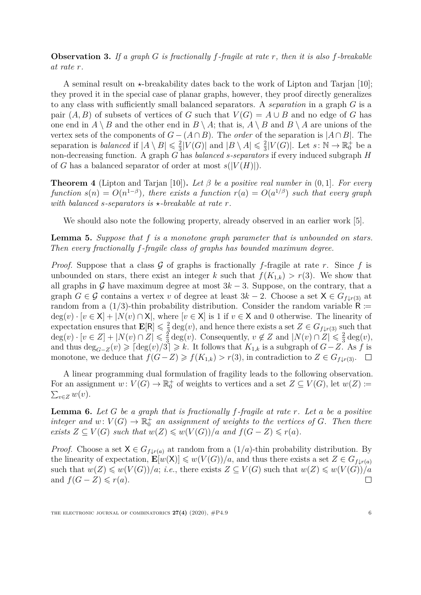<span id="page-5-2"></span>**Observation 3.** *If a graph G is fractionally f-fragile at rate r, then it is also f-breakable at rate r.*

A seminal result on  $\star$ -breakability dates back to the work of Lipton and Tarjan [\[10\]](#page-25-3); they proved it in the special case of planar graphs, however, they proof directly generalizes to any class with sufficiently small balanced separators. A *separation* in a graph *G* is a pair  $(A, B)$  of subsets of vertices of *G* such that  $V(G) = A \cup B$  and no edge of *G* has one end in  $A \setminus B$  and the other end in  $B \setminus A$ ; that is,  $A \setminus B$  and  $B \setminus A$  are unions of the vertex sets of the components of  $G - (A \cap B)$ . The *order* of the separation is  $|A \cap B|$ . The separation is *balanced* if  $|A \setminus B| \leq \frac{2}{3}$  $\frac{2}{3}|V(G)|$  and  $|B \setminus A| \leq \frac{2}{3}$  $\frac{2}{3}|V(G)|$ . Let  $s: \mathbb{N} \to \mathbb{R}_0^+$  be a non-decreasing function. A graph *G* has *balanced s-separators* if every induced subgraph *H* of *G* has a balanced separator of order at most  $s(|V(H)|)$ .

<span id="page-5-1"></span>**Theorem 4** (Lipton and Tarjan [\[10\]](#page-25-3)). Let  $\beta$  be a positive real number in  $(0, 1]$ . For every  $function s(n) = O(n^{1-\beta})$ , there exists a function  $r(a) = O(a^{1/\beta})$  such that every graph *with balanced s-separators is*  $\star$ -breakable at rate  $r$ .

We should also note the following property, already observed in an earlier work [\[5\]](#page-25-1).

<span id="page-5-0"></span>**Lemma 5.** *Suppose that f is a monotone graph parameter that is unbounded on stars. Then every fractionally f-fragile class of graphs has bounded maximum degree.*

*Proof.* Suppose that a class  $G$  of graphs is fractionally f-fragile at rate  $r$ . Since  $f$  is unbounded on stars, there exist an integer *k* such that  $f(K_{1,k}) > r(3)$ . We show that all graphs in G have maximum degree at most  $3k-3$ . Suppose, on the contrary, that a graph  $G \in \mathcal{G}$  contains a vertex *v* of degree at least  $3k - 2$ . Choose a set  $X \in G_{f \downarrow r(3)}$  at random from a  $(1/3)$ -thin probability distribution. Consider the random variable R :=  $deg(v) \cdot [v \in X] + |N(v) \cap X|$ , where  $[v \in X]$  is 1 if  $v \in X$  and 0 otherwise. The linearity of expectation ensures that  $\mathbf{E}[\mathsf{R}] \leq \frac{2}{3}$  $\frac{2}{3}$  deg(*v*), and hence there exists a set  $Z \in G_{f \downarrow r(3)}$  such that  $deg(v) \cdot [v \in Z] + |N(v) \cap Z| \leq \frac{2}{3}$  $\frac{2}{3}$  deg(*v*). Consequently,  $v \notin Z$  and  $|N(v) \cap Z| \leq \frac{2}{3}$  $rac{2}{3}$  deg(*v*), and thus  $\deg_{G-Z}(v) \geq \lceil \deg(v)/3 \rceil \geq k$ . It follows that  $K_{1,k}$  is a subgraph of  $G-Z$ . As  $f$  is monotone, we deduce that  $f(G-Z) \geq f(K_{1,k}) > r(3)$ , in contradiction to  $Z \in G_{f\downarrow r(3)}$ . □

A linear programming dual formulation of fragility leads to the following observation. For an assignment  $w: V(G) \to \mathbb{R}_0^+$  of weights to vertices and a set  $Z \subseteq V(G)$ , let  $w(Z) \coloneqq$  $\sum_{v \in Z} w(v)$ .

<span id="page-5-3"></span>**Lemma 6.** *Let G be a graph that is fractionally f-fragile at rate r. Let a be a positive integer and*  $w: V(G) \to \mathbb{R}_0^+$  *an assignment of weights to the vertices of G. Then there exists*  $Z \subseteq V(G)$  *such that*  $w(Z) \leq w(V(G))/a$  *and*  $f(G - Z) \leq r(a)$ *.* 

*Proof.* Choose a set  $X \in G_{f \downarrow r(a)}$  at random from a  $(1/a)$ -thin probability distribution. By the linearity of expectation,  $\mathbf{E}[w(\mathsf{X})] \leq w(V(G))/a$ , and thus there exists a set  $Z \in G_{f \downarrow r(a)}$ such that  $w(Z) \leq w(V(G))/a$ ; *i.e.*, there exists  $Z \subseteq V(G)$  such that  $w(Z) \leq w(V(G))/a$ and  $f(G - Z) \leq r(a)$ .  $\Box$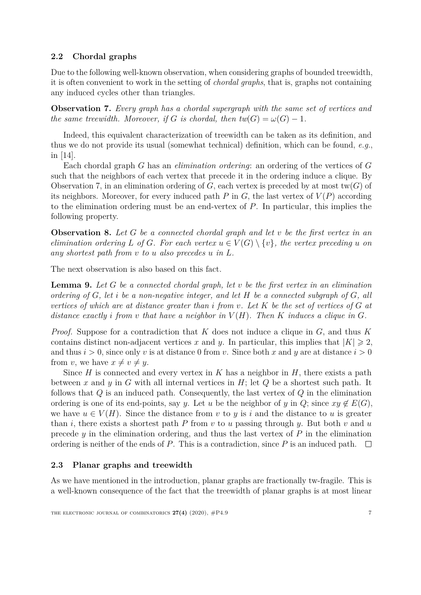### **2.2 Chordal graphs**

Due to the following well-known observation, when considering graphs of bounded treewidth, it is often convenient to work in the setting of *chordal graphs*, that is, graphs not containing any induced cycles other than triangles.

<span id="page-6-0"></span>**Observation 7.** *Every graph has a chordal supergraph with the same set of vertices and the same treewidth. Moreover, if G is chordal, then tw*( $G$ ) =  $\omega(G) - 1$ *.* 

Indeed, this equivalent characterization of treewidth can be taken as its definition, and thus we do not provide its usual (somewhat technical) definition, which can be found, *e.g.*, in [\[14\]](#page-26-2).

Each chordal graph *G* has an *elimination ordering*: an ordering of the vertices of *G* such that the neighbors of each vertex that precede it in the ordering induce a clique. By Observation [7,](#page-6-0) in an elimination ordering of  $G$ , each vertex is preceded by at most tw( $G$ ) of its neighbors. Moreover, for every induced path  $P$  in  $G$ , the last vertex of  $V(P)$  according to the elimination ordering must be an end-vertex of *P*. In particular, this implies the following property.

<span id="page-6-1"></span>**Observation 8.** *Let G be a connected chordal graph and let v be the first vertex in an elimination ordering L of G. For each vertex*  $u \in V(G) \setminus \{v\}$ *, the vertex preceding u on any shortest path from v to u also precedes u in L.*

The next observation is also based on this fact.

<span id="page-6-2"></span>**Lemma 9.** *Let G be a connected chordal graph, let v be the first vertex in an elimination ordering of G, let i be a non-negative integer, and let H be a connected subgraph of G, all vertices of which are at distance greater than i from v. Let K be the set of vertices of G at distance exactly i from v that have a neighbor in*  $V(H)$ *. Then K induces a clique in G.* 

*Proof.* Suppose for a contradiction that *K* does not induce a clique in *G*, and thus *K* contains distinct non-adjacent vertices x and y. In particular, this implies that  $|K| \geq 2$ , and thus  $i > 0$ , since only *v* is at distance 0 from *v*. Since both *x* and *y* are at distance  $i > 0$ from *v*, we have  $x \neq v \neq u$ .

Since *H* is connected and every vertex in *K* has a neighbor in *H*, there exists a path between *x* and *y* in *G* with all internal vertices in *H*; let *Q* be a shortest such path. It follows that *Q* is an induced path. Consequently, the last vertex of *Q* in the elimination ordering is one of its end-points, say *y*. Let *u* be the neighbor of *y* in  $Q$ ; since  $xy \notin E(G)$ , we have  $u \in V(H)$ . Since the distance from *v* to *y* is *i* and the distance to *u* is greater than *i*, there exists a shortest path *P* from *v* to *u* passing through *y*. But both *v* and *u* precede *y* in the elimination ordering, and thus the last vertex of *P* in the elimination ordering is neither of the ends of *P*. This is a contradiction, since *P* is an induced path.  $\square$ 

#### **2.3 Planar graphs and treewidth**

As we have mentioned in the introduction, planar graphs are fractionally tw-fragile. This is a well-known consequence of the fact that the treewidth of planar graphs is at most linear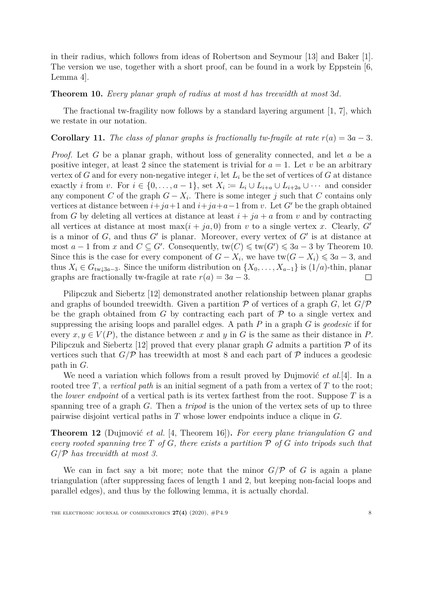in their radius, which follows from ideas of Robertson and Seymour [\[13\]](#page-26-3) and Baker [\[1\]](#page-25-0). The version we use, together with a short proof, can be found in a work by Eppstein [\[6,](#page-25-4) Lemma 4].

#### <span id="page-7-1"></span>**Theorem 10.** *Every planar graph of radius at most d has treewidth at most* 3*d.*

The fractional tw-fragility now follows by a standard layering argument [\[1,](#page-25-0) [7\]](#page-25-5), which we restate in our notation.

#### <span id="page-7-0"></span>**Corollary 11.** *The class of planar graphs is fractionally tw-fragile at rate*  $r(a) = 3a - 3$ *.*

*Proof.* Let *G* be a planar graph, without loss of generality connected, and let *a* be a positive integer, at least 2 since the statement is trivial for  $a = 1$ . Let *v* be an arbitrary vertex of *G* and for every non-negative integer *i*, let  $L_i$  be the set of vertices of *G* at distance exactly *i* from *v*. For  $i \in \{0, \ldots, a-1\}$ , set  $X_i := L_i \cup L_{i+a} \cup L_{i+2a} \cup \cdots$  and consider any component *C* of the graph  $G - X_i$ . There is some integer *j* such that *C* contains only vertices at distance between  $i + ja + 1$  and  $i + ja + a - 1$  from *v*. Let *G*<sup>*'*</sup> be the graph obtained from *G* by deleting all vertices at distance at least  $i + ja + a$  from *v* and by contracting all vertices at distance at most max $(i + ja, 0)$  from *v* to a single vertex *x*. Clearly, G' is a minor of  $G$ , and thus  $G'$  is planar. Moreover, every vertex of  $G'$  is at distance at most *a* − 1 from *x* and  $C \subseteq G'$ . Consequently,  $tw(C) \leq w(G') \leq 3a - 3$  by Theorem [10.](#page-7-1) Since this is the case for every component of  $G - X_i$ , we have tw $(G - X_i) \leq 3a - 3$ , and thus  $X_i \in G_{\text{tw} \downarrow 3a-3}$ . Since the uniform distribution on  $\{X_0, \ldots, X_{a-1}\}$  is  $(1/a)$ -thin, planar graphs are fractionally tw-fragile at rate  $r(a) = 3a - 3$ . □

Pilipczuk and Siebertz [\[12\]](#page-25-6) demonstrated another relationship between planar graphs and graphs of bounded treewidth. Given a partition  $P$  of vertices of a graph *G*, let  $G/P$ be the graph obtained from  $G$  by contracting each part of  $\mathcal P$  to a single vertex and suppressing the arising loops and parallel edges. A path *P* in a graph *G* is *geodesic* if for every  $x, y \in V(P)$ , the distance between x and y in G is the same as their distance in P. Pilipczuk and Siebertz [\[12\]](#page-25-6) proved that every planar graph *G* admits a partition  $\mathcal P$  of its vertices such that  $G/P$  has treewidth at most 8 and each part of P induces a geodesic path in *G*.

We need a variation which follows from a result proved by Dujmović *et al.*[\[4\]](#page-25-7). In a rooted tree *T*, a *vertical path* is an initial segment of a path from a vertex of *T* to the root; the *lower endpoint* of a vertical path is its vertex farthest from the root. Suppose *T* is a spanning tree of a graph *G*. Then a *tripod* is the union of the vertex sets of up to three pairwise disjoint vertical paths in *T* whose lower endpoints induce a clique in *G*.

<span id="page-7-2"></span>**Theorem 12** (Dujmović *et al.* [\[4,](#page-25-7) Theorem 16])**.** *For every plane triangulation G and every rooted spanning tree T of G, there exists a partition* P *of G into tripods such that G/*P *has treewidth at most 3.*

We can in fact say a bit more; note that the minor  $G/\mathcal{P}$  of *G* is again a plane triangulation (after suppressing faces of length 1 and 2, but keeping non-facial loops and parallel edges), and thus by the following lemma, it is actually chordal.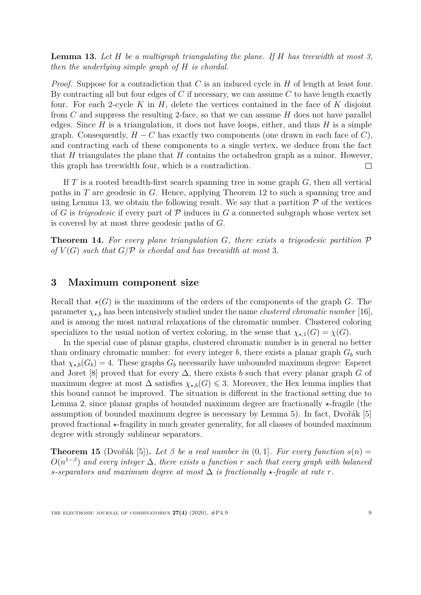<span id="page-8-1"></span>**Lemma 13.** *Let H be a multigraph triangulating the plane. If H has treewidth at most 3, then the underlying simple graph of H is chordal.*

*Proof.* Suppose for a contradiction that *C* is an induced cycle in *H* of length at least four. By contracting all but four edges of *C* if necessary, we can assume *C* to have length exactly four. For each 2-cycle *K* in *H*, delete the vertices contained in the face of *K* disjoint from *C* and suppress the resulting 2-face, so that we can assume *H* does not have parallel edges. Since  $H$  is a triangulation, it does not have loops, either, and thus  $H$  is a simple graph. Consequently,  $H - C$  has exactly two components (one drawn in each face of  $C$ ), and contracting each of these components to a single vertex, we deduce from the fact that *H* triangulates the plane that *H* contains the octahedron graph as a minor. However, this graph has treewidth four, which is a contradiction.  $\Box$ 

If *T* is a rooted breadth-first search spanning tree in some graph *G*, then all vertical paths in *T* are geodesic in *G*. Hence, applying Theorem [12](#page-7-2) to such a spanning tree and using Lemma [13,](#page-8-1) we obtain the following result. We say that a partition  $P$  of the vertices of *G* is *trigeodesic* if every part of  $P$  induces in *G* a connected subgraph whose vertex set is covered by at most three geodesic paths of *G*.

<span id="page-8-3"></span>**Theorem 14.** *For every plane triangulation G, there exists a trigeodesic partition* P *of*  $V(G)$  *such that*  $G/P$  *is chordal and has treewidth at most* 3*.* 

# <span id="page-8-0"></span>**3 Maximum component size**

Recall that  $\star$ (*G*) is the maximum of the orders of the components of the graph *G*. The parameter  $\chi_{\star,b}$  has been intensively studied under the name *clustered chromatic number* [\[16\]](#page-26-0), and is among the most natural relaxations of the chromatic number. Clustered coloring specializes to the usual notion of vertex coloring, in the sense that  $\chi_{\star,1}(G) = \chi(G)$ .

In the special case of planar graphs, clustered chromatic number is in general no better than ordinary chromatic number: for every integer *b*, there exists a planar graph  $G_b$  such that  $\chi_{\star,b}(G_b) = 4$ . These graphs  $G_b$  necessarily have unbounded maximum degree: Esperet and Joret [\[8\]](#page-25-8) proved that for every  $\Delta$ , there exists *b* such that every planar graph *G* of maximum degree at most  $\Delta$  satisfies  $\chi_{\star,b}(G) \leq 3$ . Moreover, the Hex lemma implies that this bound cannot be improved. The situation is different in the fractional setting due to Lemma [2,](#page-4-0) since planar graphs of bounded maximum degree are fractionally  $\star$ -fragile (the assumption of bounded maximum degree is necessary by Lemma [5\)](#page-5-0). In fact, Dvořák [\[5\]](#page-25-1) proved fractional  $\star$ -fragility in much greater generality, for all classes of bounded maximum degree with strongly sublinear separators.

<span id="page-8-2"></span>**Theorem 15** (Dvořák [\[5\]](#page-25-1)). Let  $\beta$  be a real number in  $(0,1]$ . For every function  $s(n)$  =  $O(n^{1-\beta})$  and every integer  $\Delta$ , there exists a function *r* such that every graph with balanced *s*-separators and maximum degree at most  $\Delta$  is fractionally  $\star$ -fragile at rate r.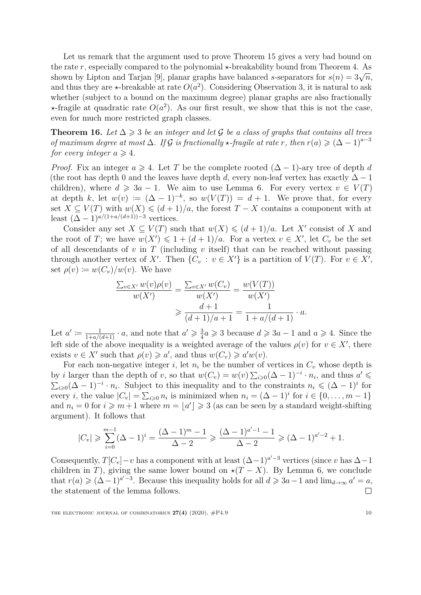Let us remark that the argument used to prove Theorem [15](#page-8-2) gives a very bad bound on the rate r, especially compared to the polynomial  $\star$ -breakability bound from Theorem [4.](#page-5-1) As shown by Lipton and Tarjan [\[9\]](#page-25-9), planar graphs have balanced *s*-separators for  $s(n) = 3\sqrt{n}$ , and thus they are  $\star$ -breakable at rate  $O(a^2)$ . Considering Observation [3,](#page-5-2) it is natural to ask whether (subject to a bound on the maximum degree) planar graphs are also fractionally  $\star$ -fragile at quadratic rate  $O(a^2)$ . As our first result, we show that this is not the case, even for much more restricted graph classes.

<span id="page-9-0"></span>**Theorem 16.** Let  $\Delta \geq 3$  *be an integer and let* G *be a class of graphs that contains all trees of maximum degree at most*  $\Delta$ *. If* G *is fractionally*  $\star$ -*fragile at rate r, then*  $r(a) \geq (\Delta - 1)^{a-3}$ *for every integer*  $a \geq 4$ *.* 

*Proof.* Fix an integer  $a \ge 4$ . Let T be the complete rooted  $(\Delta - 1)$ -ary tree of depth d (the root has depth 0 and the leaves have depth *d*, every non-leaf vertex has exactly  $\Delta - 1$ children), where  $d \geq 3a - 1$ . We aim to use Lemma [6.](#page-5-3) For every vertex  $v \in V(T)$ at depth *k*, let  $w(v) := (\Delta - 1)^{-k}$ , so  $w(V(T)) = d + 1$ . We prove that, for every set  $X \subseteq V(T)$  with  $w(X) \leq (d+1)/a$ , the forest  $T - X$  contains a component with at least  $(\Delta - 1)^{a/(1 + a/(d+1)) - 3}$  vertices.

Consider any set  $X \subseteq V(T)$  such that  $w(X) \leq (d+1)/a$ . Let X' consist of X and the root of *T*; we have  $w(X') \leq 1 + (d+1)/a$ . For a vertex  $v \in X'$ , let  $C_v$  be the set of all descendants of *v* in *T* (including *v* itself) that can be reached without passing through another vertex of *X'*. Then  $\{C_v : v \in X'\}$  is a partition of  $V(T)$ . For  $v \in X'$ , set  $\rho(v) \coloneqq w(C_v)/w(v)$ . We have

$$
\frac{\sum_{v \in X'} w(v)\rho(v)}{w(X')} = \frac{\sum_{v \in X'} w(C_v)}{w(X')} = \frac{w(V(T))}{w(X')}
$$

$$
\geq \frac{d+1}{(d+1)/a+1} = \frac{1}{1+a/(d+1)} \cdot a.
$$

Let  $a' \coloneqq \frac{1}{1+a/(d+1)} \cdot a$ , and note that  $a' \geqslant \frac{3}{4}$  $\frac{3}{4}a \geqslant 3$  because  $d \geqslant 3a - 1$  and  $a \geqslant 4$ . Since the left side of the above inequality is a weighted average of the values  $\rho(v)$  for  $v \in X'$ , there exists  $v \in X'$  such that  $\rho(v) \geq a'$ , and thus  $w(C_v) \geq a'w(v)$ .

For each non-negative integer *i*, let  $n_i$  be the number of vertices in  $C_v$  whose depth is by *i* larger than the depth of *v*, so that  $w(C_v) = w(v) \sum_{i \geq 0} (\Delta - 1)^{-i} \cdot n_i$ , and thus  $a' \leq$  $\sum_{i\geqslant 0} (\Delta - 1)^{-i} \cdot n_i$ . Subject to this inequality and to the constraints  $n_i \leqslant (\Delta - 1)^i$  for every *i*, the value  $|C_v| = \sum_{i \geq 0} n_i$  is minimized when  $n_i = (\Delta - 1)^i$  for  $i \in \{0, ..., m - 1\}$ and  $n_i = 0$  for  $i \geq m+1$  where  $m = \lfloor a' \rfloor \geq 3$  (as can be seen by a standard weight-shifting argument). It follows that

$$
|C_v| \geqslant \sum_{i=0}^{m-1} (\Delta - 1)^i = \frac{(\Delta - 1)^m - 1}{\Delta - 2} \geqslant \frac{(\Delta - 1)^{a'-1} - 1}{\Delta - 2} \geqslant (\Delta - 1)^{a'-2} + 1.
$$

Consequently,  $T[C_v] - v$  has a component with at least  $(\Delta - 1)^{a'-3}$  vertices (since *v* has  $\Delta - 1$ ) children in *T*), giving the same lower bound on  $\star$ (*T* − *X*). By Lemma [6,](#page-5-3) we conclude that  $r(a) \geqslant (\Delta - 1)^{a'-3}$ . Because this inequality holds for all  $d \geqslant 3a-1$  and  $\lim_{d \to \infty} a' = a$ , the statement of the lemma follows.  $\Box$ 

THE ELECTRONIC JOURNAL OF COMBINATORICS  $27(4)$  (2020),  $\#P4.9$  10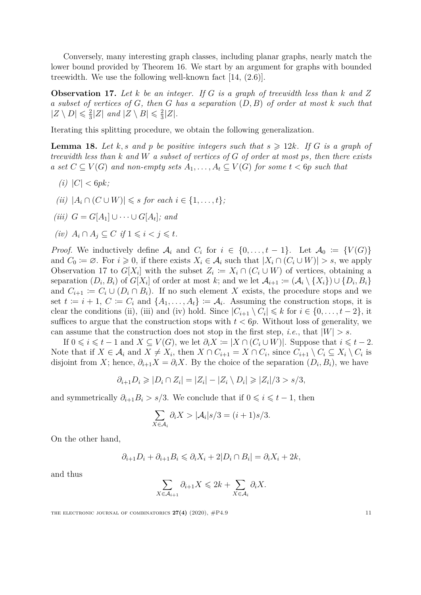Conversely, many interesting graph classes, including planar graphs, nearly match the lower bound provided by Theorem [16.](#page-9-0) We start by an argument for graphs with bounded treewidth. We use the following well-known fact [\[14,](#page-26-2) (2.6)].

<span id="page-10-0"></span>**Observation 17.** *Let k be an integer. If G is a graph of treewidth less than k and Z a subset of vertices of G, then G has a separation* (*D, B*) *of order at most k such that*  $|Z \setminus D| \leqslant \frac{2}{3}$  $\frac{2}{3}$ |Z| and  $|Z \setminus B| \leq \frac{2}{3}$  $\frac{2}{3}|Z|$ .

Iterating this splitting procedure, we obtain the following generalization.

<span id="page-10-1"></span>**Lemma 18.** Let *k*, *s* and *p* be positive integers such that  $s \geq 12k$ . If G is a graph of *treewidth less than k and W a subset of vertices of G of order at most ps, then there exists a* set  $C ⊆ V(G)$  *and non-empty sets*  $A_1, \ldots, A_t ⊆ V(G)$  *for some*  $t < 6p$  *such that* 

- $(i) |C| < 6pk;$
- $(iii)$   $|A_i \cap (C \cup W)| \leq s$  *for each*  $i \in \{1, ..., t\}$ ;
- $(iii)$  *G* = *G*[*A*<sub>1</sub>] ∪ · · · ∪ *G*[*A*<sub>*t*</sub>]*; and*
- *(iv)*  $A_i \cap A_j \subseteq C$  *if*  $1 \leq i < j \leq t$ *.*

*Proof.* We inductively define  $\mathcal{A}_i$  and  $C_i$  for  $i \in \{0, ..., t-1\}$ . Let  $\mathcal{A}_0 := \{V(G)\}$ and  $C_0 := \emptyset$ . For  $i \geq 0$ , if there exists  $X_i \in \mathcal{A}_i$  such that  $|X_i \cap (C_i \cup W)| > s$ , we apply Observation [17](#page-10-0) to  $G[X_i]$  with the subset  $Z_i := X_i \cap (C_i \cup W)$  of vertices, obtaining a separation  $(D_i, B_i)$  of  $G[X_i]$  of order at most *k*; and we let  $\mathcal{A}_{i+1} := (\mathcal{A}_i \setminus \{X_i\}) \cup \{D_i, B_i\}$ and  $C_{i+1} := C_i \cup (D_i \cap B_i)$ . If no such element X exists, the procedure stops and we set  $t := i + 1, C := C_i$  and  $\{A_1, \ldots, A_t\} := A_i$ . Assuming the construction stops, it is clear the conditions (ii), (iii) and (iv) hold. Since  $|C_{i+1} \setminus C_i| \leq k$  for  $i \in \{0, \ldots, t-2\}$ , it suffices to argue that the construction stops with  $t < 6p$ . Without loss of generality, we can assume that the construction does not stop in the first step, *i.e.*, that  $|W| > s$ .

If  $0 \leq i \leq t-1$  and  $X \subseteq V(G)$ , we let  $\partial_i X := |X \cap (C_i \cup W)|$ . Suppose that  $i \leq t-2$ . Note that if  $X \in \mathcal{A}_i$  and  $X \neq X_i$ , then  $X \cap C_{i+1} = X \cap C_i$ , since  $C_{i+1} \setminus C_i \subseteq X_i \setminus C_i$  is disjoint from *X*; hence,  $\partial_{i+1}X = \partial_iX$ . By the choice of the separation  $(D_i, B_i)$ , we have

$$
\partial_{i+1}D_i \geqslant |D_i \cap Z_i| = |Z_i| - |Z_i \setminus D_i| \geqslant |Z_i|/3 > s/3,
$$

and symmetrically  $\partial_{i+1}B_i > s/3$ . We conclude that if  $0 \leq i \leq t-1$ , then

$$
\sum_{X \in \mathcal{A}_i} \partial_i X > |\mathcal{A}_i| s/3 = (i+1)s/3.
$$

On the other hand,

$$
\partial_{i+1}D_i+\partial_{i+1}B_i\leqslant \partial_iX_i+2|D_i\cap B_i|=\partial_iX_i+2k,
$$

and thus

$$
\sum_{X \in \mathcal{A}_{i+1}} \partial_{i+1} X \leq 2k + \sum_{X \in \mathcal{A}_i} \partial_i X.
$$

THE ELECTRONIC JOURNAL OF COMBINATORICS  $27(4)$  (2020),  $\#P4.9$  11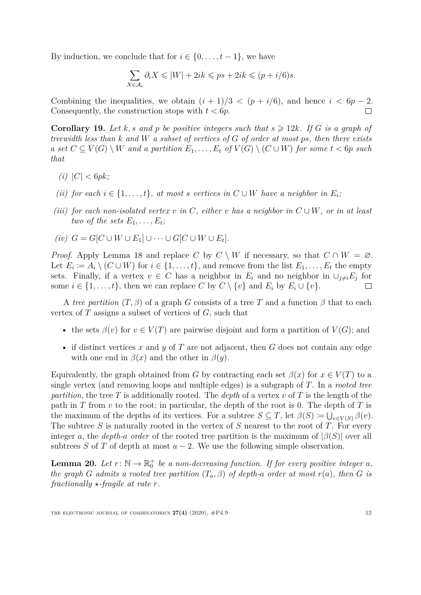By induction, we conclude that for  $i \in \{0, \ldots, t-1\}$ , we have

$$
\sum_{X \in \mathcal{A}_i} \partial_i X \le |W| + 2ik \le ps + 2ik \le (p + i/6)s.
$$

Combining the inequalities, we obtain  $(i + 1)/3 < (p + i/6)$ , and hence  $i < 6p - 2$ . Consequently, the construction stops with  $t < 6p$ .  $\Box$ 

<span id="page-11-1"></span>**Corollary 19.** Let k, s and p be positive integers such that  $s \geq 12k$ . If G is a graph of *treewidth less than k and W a subset of vertices of G of order at most ps, then there exists a* set  $C ⊆ V(G) \setminus W$  *and a partition*  $E_1, \ldots, E_t$  *of*  $V(G) \setminus (C \cup W)$  *for some*  $t < 6p$  *such that*

- $(i) |C| < 6pk;$
- *(ii) for each*  $i \in \{1, \ldots, t\}$ *, at most s vertices in*  $C \cup W$  *have a neighbor in*  $E_i$ *;*
- *(iii) for each non-isolated vertex*  $v$  *in*  $C$ *, either*  $v$  *has a neighbor in*  $C \cup W$ *, or in at least two of the sets*  $E_1, \ldots, E_t$ *;*

$$
(iv) \ \ G = G[C \cup W \cup E_1] \cup \cdots \cup G[C \cup W \cup E_t].
$$

*Proof.* Apply Lemma [18](#page-10-1) and replace *C* by  $C \setminus W$  if necessary, so that  $C \cap W = \emptyset$ . Let  $E_i := A_i \setminus (C \cup W)$  for  $i \in \{1, \ldots, t\}$ , and remove from the list  $E_1, \ldots, E_t$  the empty sets. Finally, if a vertex  $v \in C$  has a neighbor in  $E_i$  and no neighbor in  $\cup_{j\neq i} E_j$  for some  $i \in \{1, \ldots, t\}$ , then we can replace  $C$  by  $C \setminus \{v\}$  and  $E_i$  by  $E_i \cup \{v\}$ .  $\Box$ 

A *tree partition*  $(T, \beta)$  of a graph *G* consists of a tree *T* and a function  $\beta$  that to each vertex of *T* assigns a subset of vertices of *G*, such that

- the sets  $\beta(v)$  for  $v \in V(T)$  are pairwise disjoint and form a partition of  $V(G)$ ; and
- if distinct vertices *x* and *y* of *T* are not adjacent, then *G* does not contain any edge with one end in  $\beta(x)$  and the other in  $\beta(y)$ .

Equivalently, the graph obtained from *G* by contracting each set  $\beta(x)$  for  $x \in V(T)$  to a single vertex (and removing loops and multiple edges) is a subgraph of *T*. In a *rooted tree partition*, the tree *T* is additionally rooted. The *depth* of a vertex *v* of *T* is the length of the path in  $T$  from  $v$  to the root; in particular, the depth of the root is 0. The depth of  $T$  is the maximum of the depths of its vertices. For a subtree  $S \subseteq T$ , let  $\beta(S) \coloneqq \bigcup_{v \in V(S)} \beta(v)$ . The subtree *S* is naturally rooted in the vertex of *S* nearest to the root of *T*. For every integer *a*, the *depth-a order* of the rooted tree partition is the maximum of  $|\beta(S)|$  over all subtrees *S* of *T* of depth at most  $a - 2$ . We use the following simple observation.

<span id="page-11-0"></span>**Lemma 20.** Let  $r: \mathbb{N} \to \mathbb{R}_0^+$  be a non-decreasing function. If for every positive integer a, *the graph G admits a rooted tree partition*  $(T_a, \beta)$  *of depth-a order at most*  $r(a)$ *, then G is fractionally*  $\star$ *-fragile at rate r.*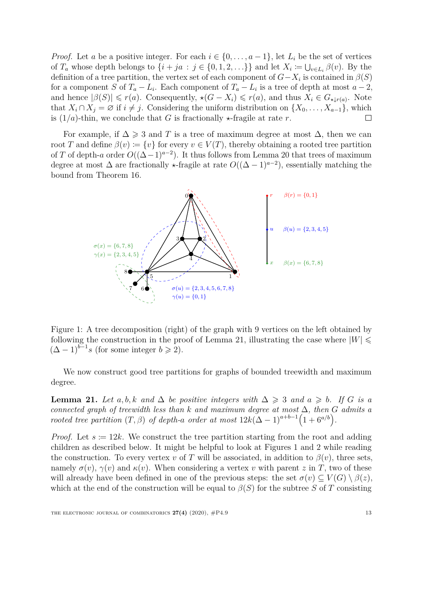*Proof.* Let *a* be a positive integer. For each  $i \in \{0, \ldots, a-1\}$ , let  $L_i$  be the set of vertices of  $T_a$  whose depth belongs to  $\{i + ja : j \in \{0, 1, 2, \ldots\}\}\$  and let  $X_i \coloneqq \bigcup_{v \in L_i} \beta(v)$ . By the definition of a tree partition, the vertex set of each component of  $G - X_i$  is contained in  $\beta(S)$ for a component *S* of  $T_a - L_i$ . Each component of  $T_a - L_i$  is a tree of depth at most  $a - 2$ , and hence  $|\beta(S)| \leq r(a)$ . Consequently,  $\star(G - X_i) \leq r(a)$ , and thus  $\overline{X_i} \in G_{\star \downarrow r(a)}$ . Note that  $X_i \cap X_j = \emptyset$  if  $i \neq j$ . Considering the uniform distribution on  $\{X_0, \ldots, X_{a-1}\}$ , which is  $(1/a)$ -thin, we conclude that *G* is fractionally  $\star$ -fragile at rate *r*. П

For example, if  $\Delta \geq 3$  and T is a tree of maximum degree at most  $\Delta$ , then we can root *T* and define  $\beta(v) := \{v\}$  for every  $v \in V(T)$ , thereby obtaining a rooted tree partition of *T* of depth-*a* order  $O((\Delta - 1)^{a-2})$ . It thus follows from Lemma [20](#page-11-0) that trees of maximum degree at most  $\Delta$  are fractionally  $\star$ -fragile at rate  $O((\Delta - 1)^{a-2})$ , essentially matching the bound from Theorem [16.](#page-9-0)



<span id="page-12-1"></span>Figure 1: A tree decomposition (right) of the graph with 9 vertices on the left obtained by following the construction in the proof of Lemma [21,](#page-12-0) illustrating the case where  $|W| \le$  $(\Delta - 1)^{b-1}$ *s* (for some integer  $b \ge 2$ ).

We now construct good tree partitions for graphs of bounded treewidth and maximum degree.

<span id="page-12-0"></span>**Lemma 21.** *Let*  $a, b, k$  *and*  $\Delta$  *be positive integers with*  $\Delta \geq 3$  *and*  $a \geq b$ *. If G is a connected graph of treewidth less than*  $k$  *and maximum degree at most*  $\Delta$ *, then*  $G$  *admits a rooted tree partition*  $(T, \beta)$  *of depth-a order at most*  $12k(\Delta - 1)^{a+b-1}(1 + 6^{a/b})$ .

*Proof.* Let  $s = 12k$ . We construct the tree partition starting from the root and adding children as described below. It might be helpful to look at Figures [1](#page-12-1) and [2](#page-14-2) while reading the construction. To every vertex *v* of *T* will be associated, in addition to  $\beta(v)$ , three sets, namely  $\sigma(v)$ ,  $\gamma(v)$  and  $\kappa(v)$ . When considering a vertex *v* with parent *z* in *T*, two of these will already have been defined in one of the previous steps: the set  $\sigma(v) \subseteq V(G) \setminus \beta(z)$ , which at the end of the construction will be equal to  $\beta(S)$  for the subtree *S* of *T* consisting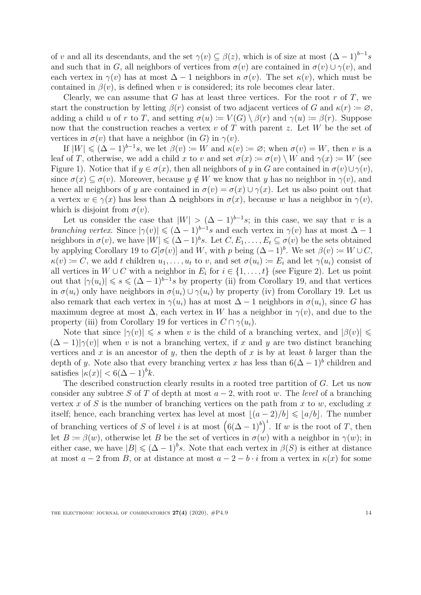of *v* and all its descendants, and the set  $\gamma(v) \subseteq \beta(z)$ , which is of size at most  $(\Delta - 1)^{b-1} s$ and such that in *G*, all neighbors of vertices from  $\sigma(v)$  are contained in  $\sigma(v) \cup \gamma(v)$ , and each vertex in  $\gamma(v)$  has at most  $\Delta - 1$  neighbors in  $\sigma(v)$ . The set  $\kappa(v)$ , which must be contained in  $\beta(v)$ , is defined when *v* is considered; its role becomes clear later.

Clearly, we can assume that  $G$  has at least three vertices. For the root  $r$  of  $T$ , we start the construction by letting  $\beta(r)$  consist of two adjacent vertices of *G* and  $\kappa(r) := \varnothing$ , adding a child *u* of *r* to *T*, and setting  $\sigma(u) := V(G) \setminus \beta(r)$  and  $\gamma(u) := \beta(r)$ . Suppose now that the construction reaches a vertex *v* of *T* with parent *z*. Let *W* be the set of vertices in  $\sigma(v)$  that have a neighbor (in *G*) in  $\gamma(v)$ .

If  $|W| \leq (\Delta - 1)^{b-1}s$ , we let  $\beta(v) := W$  and  $\kappa(v) := \varnothing$ ; when  $\sigma(v) = W$ , then *v* is a leaf of *T*, otherwise, we add a child *x* to *v* and set  $\sigma(x) := \sigma(v) \setminus W$  and  $\gamma(x) := W$  (see Figure [1\)](#page-12-1). Notice that if  $y \in \sigma(x)$ , then all neighbors of *y* in *G* are contained in  $\sigma(v) \cup \gamma(v)$ , since  $\sigma(x) \subseteq \sigma(v)$ . Moreover, because  $y \notin W$  we know that *y* has no neighbor in  $\gamma(v)$ , and hence all neighbors of *y* are contained in  $\sigma(v) = \sigma(x) \cup \gamma(x)$ . Let us also point out that a vertex  $w \in \gamma(x)$  has less than  $\Delta$  neighbors in  $\sigma(x)$ , because *w* has a neighbor in  $\gamma(v)$ , which is disjoint from  $\sigma(v)$ .

Let us consider the case that  $|W| > (\Delta - 1)^{b-1} s$ ; in this case, we say that *v* is a *branching vertex.* Since  $|\gamma(v)| \leq (\Delta - 1)^{b-1}s$  and each vertex in  $\gamma(v)$  has at most  $\Delta - 1$ neighbors in  $\sigma(v)$ , we have  $|W| \leq (\Delta - 1)^b s$ . Let  $C, E_1, \ldots, E_t \subseteq \sigma(v)$  be the sets obtained by applying Corollary [19](#page-11-1) to  $G[\sigma(v)]$  and *W*, with *p* being  $(\Delta - 1)^b$ . We set  $\beta(v) \coloneqq W \cup C$ ,  $\kappa(v) := C$ , we add *t* children  $u_1, \ldots, u_t$  to *v*, and set  $\sigma(u_i) := E_i$  and let  $\gamma(u_i)$  consist of all vertices in  $W \cup C$  with a neighbor in  $E_i$  for  $i \in \{1, \ldots, t\}$  (see Figure [2\)](#page-14-2). Let us point out that  $|\gamma(u_i)| \leqslant s \leqslant (\Delta - 1)^{b-1} s$  by property (ii) from Corollary [19,](#page-11-1) and that vertices in  $\sigma(u_i)$  only have neighbors in  $\sigma(u_i) \cup \gamma(u_i)$  by property (iv) from Corollary [19.](#page-11-1) Let us also remark that each vertex in  $\gamma(u_i)$  has at most  $\Delta - 1$  neighbors in  $\sigma(u_i)$ , since *G* has maximum degree at most  $\Delta$ , each vertex in *W* has a neighbor in  $\gamma(v)$ , and due to the property (iii) from Corollary [19](#page-11-1) for vertices in  $C \cap \gamma(u_i)$ .

Note that since  $|\gamma(v)| \leq s$  when *v* is the child of a branching vertex, and  $|\beta(v)| \leq$  $(\Delta - 1)|\gamma(v)|$  when *v* is not a branching vertex, if *x* and *y* are two distinct branching vertices and  $x$  is an ancestor of  $y$ , then the depth of  $x$  is by at least  $b$  larger than the depth of *y*. Note also that every branching vertex *x* has less than  $6(\Delta - 1)^b$  children and satisfies  $|\kappa(x)| < 6(\Delta - 1)^b k$ .

The described construction clearly results in a rooted tree partition of *G*. Let us now consider any subtree *S* of *T* of depth at most  $a - 2$ , with root *w*. The *level* of a branching vertex *x* of *S* is the number of branching vertices on the path from *x* to *w*, excluding *x* itself; hence, each branching vertex has level at most  $|(a - 2)/b| \leq |a/b|$ . The number of branching vertices of *S* of level *i* is at most  $(6(\Delta - 1)^b)^i$ . If *w* is the root of *T*, then let  $B \coloneqq \beta(w)$ , otherwise let *B* be the set of vertices in  $\sigma(w)$  with a neighbor in  $\gamma(w)$ ; in either case, we have  $|B| \leq (\Delta - 1)^b s$ . Note that each vertex in  $\beta(S)$  is either at distance at most  $a - 2$  from *B*, or at distance at most  $a - 2 - b \cdot i$  from a vertex in  $\kappa(x)$  for some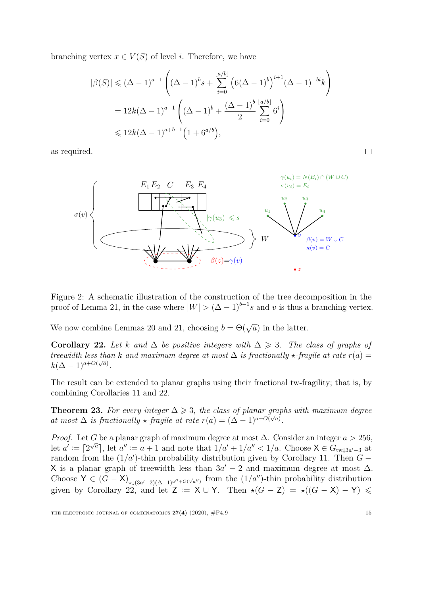branching vertex  $x \in V(S)$  of level *i*. Therefore, we have

$$
|\beta(S)| \le (\Delta - 1)^{a-1} \left( (\Delta - 1)^b s + \sum_{i=0}^{\lfloor a/b \rfloor} \left( 6(\Delta - 1)^b \right)^{i+1} (\Delta - 1)^{-bi} k \right)
$$
  
=  $12k(\Delta - 1)^{a-1} \left( (\Delta - 1)^b + \frac{(\Delta - 1)^b}{2} \sum_{i=0}^{\lfloor a/b \rfloor} 6^i \right)$   
 $\le 12k(\Delta - 1)^{a+b-1} \left( 1 + 6^{a/b} \right),$ 

as required.



<span id="page-14-2"></span>Figure 2: A schematic illustration of the construction of the tree decomposition in the proof of Lemma [21,](#page-12-0) in the case where  $|W| > (\Delta - 1)^{b-1} s$  and *v* is thus a branching vertex.

We now combine Lemmas [20](#page-11-0) and [21,](#page-12-0) choosing  $b = \Theta(\sqrt{a})$  in the latter.

<span id="page-14-0"></span>**Corollary 22.** Let *k* and  $\Delta$  *be positive integers with*  $\Delta \geq 3$ . The class of graphs of *treewidth less than k and maximum degree at most*  $\Delta$  *is fractionally*  $\star$ *-fragile at rate*  $r(a)$  =  $k(\Delta - 1)^{a + O(\sqrt{a})}.$ 

The result can be extended to planar graphs using their fractional tw-fragility; that is, by combining Corollaries [11](#page-7-0) and [22.](#page-14-0)

<span id="page-14-1"></span>**Theorem 23.** For every integer  $\Delta \geq 3$ , the class of planar graphs with maximum degree *at most*  $\Delta$  *is fractionally*  $\star$ *-fragile at rate*  $r(a) = (\Delta - 1)^{a+O(\sqrt{a})}$ .

*Proof.* Let *G* be a planar graph of maximum degree at most  $\Delta$ . Consider an integer  $a > 256$ , let  $a' := [2^{\sqrt{a}}]$ , let  $a'' := a + 1$  and note that  $1/a' + 1/a'' < 1/a$ . Choose  $X \in G_{tw\downarrow 3a'-3}$  at random from the  $(1/a')$ -thin probability distribution given by Corollary [11.](#page-7-0) Then  $G -$ X is a planar graph of treewidth less than  $3a' - 2$  and maximum degree at most  $\Delta$ . Choose  $Y \in (G - X)_{\star \downarrow (3a'-2)(\Delta - 1)^{a''+O(\sqrt{a''})}}$  from the  $(1/a'')$ -thin probability distribution given by Corollary  $22$ , and let  $Z = X \cup Y$ . Then  $\star(G - Z) = \star((G - X) - Y) \le$ 

 $\Box$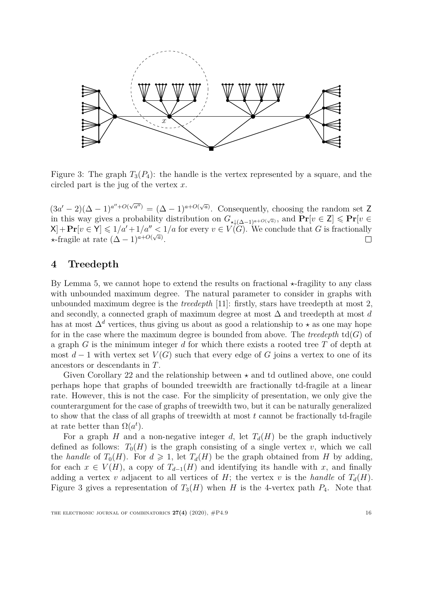

<span id="page-15-1"></span>Figure 3: The graph  $T_3(P_4)$ : the handle is the vertex represented by a square, and the circled part is the jug of the vertex *x*.

 $(3a' - 2)(\Delta - 1)^{a'' + O(\sqrt{a''})} = (\Delta - 1)^{a + O(\sqrt{a})}$ . Consequently, choosing the random set Z in this way gives a probability distribution on  $G_{\star \downarrow (\Delta - 1)^{a + O(\sqrt{a})}}$ , and  $\Pr[v \in \mathbb{Z}] \leqslant \Pr[v \in \mathbb{Z}]$  $X$  +  $\Pr[v \in Y] \leq 1/a' + 1/a'' \leq 1/a$  for every  $v \in V(G)$ . We conclude that *G* is fractionally  $\star$ -fragile at rate  $(\Delta - 1)^{a+O(\sqrt{a})}$ . П

## <span id="page-15-0"></span>**4 Treedepth**

By Lemma [5,](#page-5-0) we cannot hope to extend the results on fractional  $\star$ -fragility to any class with unbounded maximum degree. The natural parameter to consider in graphs with unbounded maximum degree is the *treedepth* [\[11\]](#page-25-10): firstly, stars have treedepth at most 2, and secondly, a connected graph of maximum degree at most ∆ and treedepth at most *d* has at most  $\Delta^d$  vertices, thus giving us about as good a relationship to  $\star$  as one may hope for in the case where the maximum degree is bounded from above. The *treedepth*  $td(G)$  of a graph *G* is the minimum integer *d* for which there exists a rooted tree *T* of depth at most  $d-1$  with vertex set  $V(G)$  such that every edge of G joins a vertex to one of its ancestors or descendants in *T*.

Given Corollary [22](#page-14-0) and the relationship between  $\star$  and td outlined above, one could perhaps hope that graphs of bounded treewidth are fractionally td-fragile at a linear rate. However, this is not the case. For the simplicity of presentation, we only give the counterargument for the case of graphs of treewidth two, but it can be naturally generalized to show that the class of all graphs of treewidth at most *t* cannot be fractionally td-fragile at rate better than  $\Omega(a^t)$ .

For a graph *H* and a non-negative integer *d*, let  $T_d(H)$  be the graph inductively defined as follows:  $T_0(H)$  is the graph consisting of a single vertex *v*, which we call the *handle* of  $T_0(H)$ . For  $d \ge 1$ , let  $T_d(H)$  be the graph obtained from *H* by adding, for each  $x \in V(H)$ , a copy of  $T_{d-1}(H)$  and identifying its handle with x, and finally adding a vertex *v* adjacent to all vertices of *H*; the vertex *v* is the *handle* of  $T_d(H)$ . Figure [3](#page-15-1) gives a representation of  $T_3(H)$  when *H* is the 4-vertex path  $P_4$ . Note that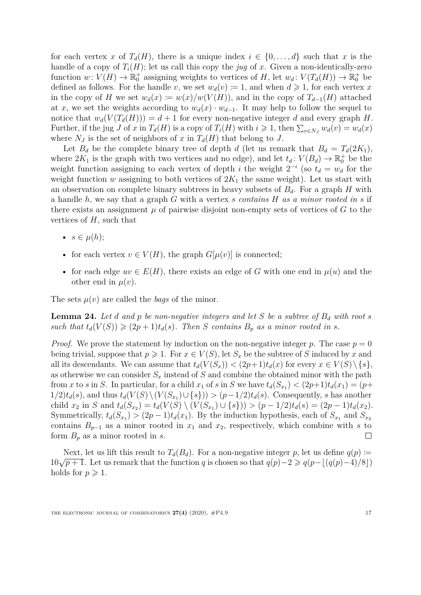for each vertex *x* of  $T_d(H)$ , there is a unique index  $i \in \{0, \ldots, d\}$  such that *x* is the handle of a copy of  $T_i(H)$ ; let us call this copy the *jug* of *x*. Given a non-identically-zero function  $w: V(H) \to \mathbb{R}_0^+$  assigning weights to vertices of *H*, let  $w_d: V(T_d(H)) \to \mathbb{R}_0^+$  be defined as follows. For the handle *v*, we set  $w_d(v) \coloneqq 1$ , and when  $d \geq 1$ , for each vertex *x* in the copy of *H* we set  $w_d(x) := w(x)/w(V(H))$ , and in the copy of  $T_{d-1}(H)$  attached at *x*, we set the weights according to  $w_d(x) \cdot w_{d-1}$ . It may help to follow the sequel to notice that  $w_d(V(T_d(H))) = d + 1$  for every non-negative integer *d* and every graph *H*. Further, if the jug *J* of *x* in  $T_d(H)$  is a copy of  $T_i(H)$  with  $i \geq 1$ , then  $\sum_{v \in N_J} w_d(v) = w_d(x)$ where  $N_J$  is the set of neighbors of *x* in  $T_d(H)$  that belong to *J*.

Let  $B_d$  be the complete binary tree of depth *d* (let us remark that  $B_d = T_d(2K_1)$ , where  $2K_1$  is the graph with two vertices and no edge), and let  $t_d$ :  $V(B_d) \to \mathbb{R}_0^+$  be the weight function assigning to each vertex of depth *i* the weight  $2^{-i}$  (so  $t_d = w_d$  for the weight function *w* assigning to both vertices of  $2K_1$  the same weight). Let us start with an observation on complete binary subtrees in heavy subsets of  $B_d$ . For a graph *H* with a handle *h*, we say that a graph *G* with a vertex *s contains H as a minor rooted in s* if there exists an assignment  $\mu$  of pairwise disjoint non-empty sets of vertices of  $G$  to the vertices of *H*, such that

- $s \in \mu(h)$ ;
- for each vertex  $v \in V(H)$ , the graph  $G[\mu(v)]$  is connected;
- for each edge  $uv \in E(H)$ , there exists an edge of G with one end in  $\mu(u)$  and the other end in  $\mu(v)$ .

The sets  $\mu(v)$  are called the *bags* of the minor.

<span id="page-16-0"></span>**Lemma 24.** Let *d* and *p be non-negative integers and let S be a subtree of*  $B_d$  *with root s* such that  $t_d(V(S)) \geq (2p+1)t_d(s)$ . Then *S* contains  $B_p$  as a minor rooted in *s*.

*Proof.* We prove the statement by induction on the non-negative integer p. The case  $p = 0$ being trivial, suppose that  $p \ge 1$ . For  $x \in V(S)$ , let  $S_x$  be the subtree of *S* induced by *x* and all its descendants. We can assume that  $t_d(V(S_x)) < (2p+1)t_d(x)$  for every  $x \in V(S) \setminus \{s\},$ as otherwise we can consider  $S_x$  instead of  $S$  and combine the obtained minor with the path from *x* to *s* in *S*. In particular, for a child  $x_1$  of *s* in *S* we have  $t_d(S_{x_1}) < (2p+1)t_d(x_1) = (p+1)$  $1/2)t_d(s)$ , and thus  $t_d(V(S) \setminus (V(S_{x_1}) \cup \{s\})) > (p-1/2)t_d(s)$ . Consequently, *s* has another child  $x_2$  in S and  $t_d(S_{x_2}) = t_d(V(S) \setminus (V(S_{x_1}) \cup \{s\})) > (p-1/2)t_d(s) = (2p-1)t_d(x_2)$ . Symmetrically,  $t_d(S_{x_1}) > (2p-1)t_d(x_1)$ . By the induction hypothesis, each of  $S_{x_1}$  and  $S_{x_2}$ contains  $B_{p-1}$  as a minor rooted in  $x_1$  and  $x_2$ , respectively, which combine with *s* to form *B<sup>p</sup>* as a minor rooted in *s*. П

Next, let us lift this result to  $T_d(B_d)$ . For a non-negative integer *p*, let us define  $q(p)$  := 10√ $p + 1$ . Let us remark that the function *q* is chosen so that  $q(p)-2 \geq q(p-|(q(p)-4)/8|)$ holds for  $p \geqslant 1$ .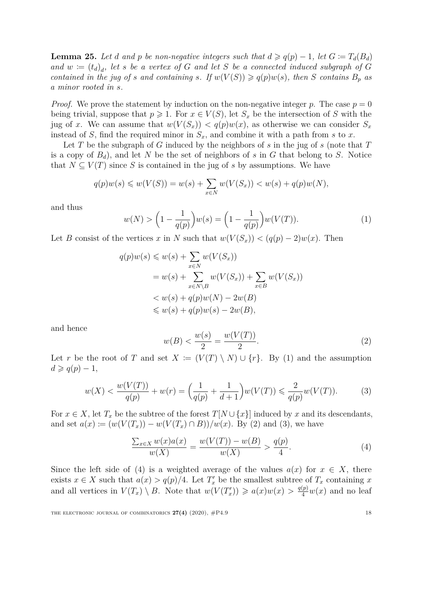<span id="page-17-4"></span>**Lemma 25.** Let *d* and *p* be non-negative integers such that  $d \geq q(p) - 1$ , let  $G \coloneq T_d(B_d)$ *and*  $w := (t_d)_d$ , let *s* be a vertex of *G* and let *S* be a connected induced subgraph of *G contained in the jug of s and containing s. If*  $w(V(S)) \geq q(p)w(s)$ *, then S contains*  $B_p$  *as a minor rooted in s.*

*Proof.* We prove the statement by induction on the non-negative integer p. The case  $p = 0$ being trivial, suppose that  $p \geq 1$ . For  $x \in V(S)$ , let  $S_x$  be the intersection of *S* with the jug of *x*. We can assume that  $w(V(S_x)) < q(p)w(x)$ , as otherwise we can consider  $S_x$ instead of *S*, find the required minor in  $S_x$ , and combine it with a path from *s* to *x*.

Let *T* be the subgraph of *G* induced by the neighbors of *s* in the jug of *s* (note that *T* is a copy of  $B_d$ ), and let N be the set of neighbors of s in G that belong to S. Notice that  $N \subseteq V(T)$  since *S* is contained in the jug of *s* by assumptions. We have

<span id="page-17-0"></span>
$$
q(p)w(s) \leq w(V(S)) = w(s) + \sum_{x \in N} w(V(S_x)) < w(s) + q(p)w(N),
$$

and thus

$$
w(N) > \left(1 - \frac{1}{q(p)}\right)w(s) = \left(1 - \frac{1}{q(p)}\right)w(V(T)).
$$
\n(1)

Let *B* consist of the vertices *x* in *N* such that  $w(V(S_x)) < (q(p) - 2)w(x)$ . Then

$$
q(p)w(s) \leq w(s) + \sum_{x \in N} w(V(S_x))
$$
  
=  $w(s) + \sum_{x \in N \setminus B} w(V(S_x)) + \sum_{x \in B} w(V(S_x))$   
<  $w(s) + q(p)w(N) - 2w(B)$   
 $\leq w(s) + q(p)w(s) - 2w(B),$ 

<span id="page-17-1"></span>and hence

<span id="page-17-3"></span>
$$
w(B) < \frac{w(s)}{2} = \frac{w(V(T))}{2}.\tag{2}
$$

Let *r* be the root of *T* and set  $X := (V(T) \setminus N) \cup \{r\}$ . By [\(1\)](#page-17-0) and the assumption  $d \geqslant q(p) - 1$ ,

<span id="page-17-2"></span>
$$
w(X) < \frac{w(V(T))}{q(p)} + w(r) = \left(\frac{1}{q(p)} + \frac{1}{d+1}\right)w(V(T)) \leq \frac{2}{q(p)}w(V(T)).\tag{3}
$$

For  $x \in X$ , let  $T_x$  be the subtree of the forest  $T[N \cup \{x\}]$  induced by  $x$  and its descendants, and set  $a(x) := (w(V(T_x)) - w(V(T_x) \cap B))/w(x)$ . By [\(2\)](#page-17-1) and [\(3\)](#page-17-2), we have

$$
\frac{\sum_{x \in X} w(x)a(x)}{w(X)} = \frac{w(V(T)) - w(B)}{w(X)} > \frac{q(p)}{4}.
$$
\n(4)

Since the left side of [\(4\)](#page-17-3) is a weighted average of the values  $a(x)$  for  $x \in X$ , there exists  $x \in X$  such that  $a(x) > q(p)/4$ . Let  $T'_x$  be the smallest subtree of  $T_x$  containing  $x$ and all vertices in  $V(T_x) \setminus B$ . Note that  $w(V(T'_x)) \geqslant a(x)w(x) > \frac{q(p)}{4}w(x)$  and no leaf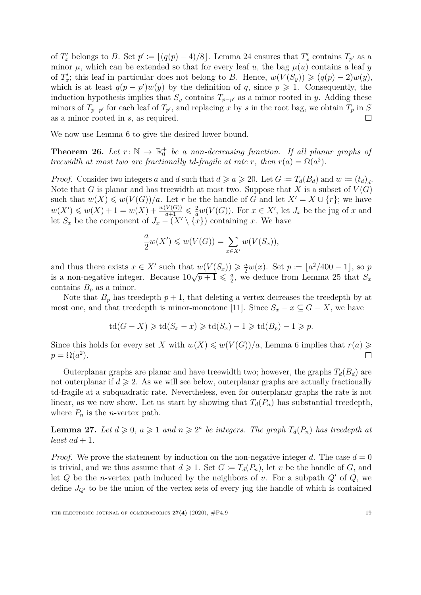of  $T'_x$  belongs to *B*. Set  $p' := \lfloor (q(p) - 4)/8 \rfloor$ . Lemma [24](#page-16-0) ensures that  $T'_x$  contains  $T_{p'}$  as a minor  $\mu$ , which can be extended so that for every leaf *u*, the bag  $\mu(u)$  contains a leaf *y* of  $T'_x$ ; this leaf in particular does not belong to *B*. Hence,  $w(V(S_y)) \geqslant (q(p) - 2)w(y)$ , which is at least  $q(p - p')w(y)$  by the definition of q, since  $p \ge 1$ . Consequently, the induction hypothesis implies that  $S_y$  contains  $T_{p-p'}$  as a minor rooted in *y*. Adding these minors of  $T_{p-p'}$  for each leaf of  $T_{p'}$ , and replacing x by s in the root bag, we obtain  $T_p$  in S as a minor rooted in *s*, as required. П

We now use Lemma [6](#page-5-3) to give the desired lower bound.

<span id="page-18-0"></span>**Theorem 26.** Let  $r: \mathbb{N} \to \mathbb{R}_0^+$  be a non-decreasing function. If all planar graphs of *treewidth at most two are fractionally td-fragile at rate r, then*  $r(a) = \Omega(a^2)$ *.* 

*Proof.* Consider two integers *a* and *d* such that  $d \ge a \ge 20$ . Let  $G := T_d(B_d)$  and  $w := (t_d)_d$ . Note that *G* is planar and has treewidth at most two. Suppose that *X* is a subset of  $V(G)$ such that  $w(X) \leq w(V(G))/a$ . Let *r* be the handle of *G* and let  $X' = X \cup \{r\}$ ; we have  $w(X') \leq w(X) + 1 = w(X) + \frac{w(V(G))}{d+1} \leq \frac{2}{a}w(V(G))$ . For  $x \in X'$ , let  $J_x$  be the jug of x and let  $S_x$  be the component of  $J_x - (X' \setminus {\overline{x}})$  containing *x*. We have

$$
\frac{a}{2}w(X') \leq w(V(G)) = \sum_{x \in X'} w(V(S_x)),
$$

and thus there exists  $x \in X'$  such that  $w(V(S_x)) \geq \frac{a}{2}w(x)$ . Set  $p := \lfloor a^2/400 - 1 \rfloor$ , so  $p$ is a non-negative integer. Because  $10\sqrt{p+1} \leq \frac{a}{2}$  $\frac{a}{2}$ , we deduce from Lemma [25](#page-17-4) that  $S_x$ contains  $B_p$  as a minor.

Note that  $B_p$  has treedepth  $p+1$ , that deleting a vertex decreases the treedepth by at most one, and that treedepth is minor-monotone [\[11\]](#page-25-10). Since  $S_x - x \subseteq G - X$ , we have

$$
\operatorname{td}(G - X) \geq \operatorname{td}(S_x - x) \geq \operatorname{td}(S_x) - 1 \geq \operatorname{td}(B_p) - 1 \geq p.
$$

Since this holds for every set *X* with  $w(X) \leq w(V(G))/a$ , Lemma [6](#page-5-3) implies that  $r(a) \geq$  $p = \Omega(a^2)$ .  $\Box$ 

Outerplanar graphs are planar and have treewidth two; however, the graphs  $T_d(B_d)$  are not outerplanar if  $d \geq 2$ . As we will see below, outerplanar graphs are actually fractionally td-fragile at a subquadratic rate. Nevertheless, even for outerplanar graphs the rate is not linear, as we now show. Let us start by showing that  $T_d(P_n)$  has substantial treedepth, where  $P_n$  is the *n*-vertex path.

<span id="page-18-1"></span>**Lemma 27.** Let  $d \geq 0$ ,  $a \geq 1$  and  $n \geq 2^a$  be integers. The graph  $T_d(P_n)$  has treedepth at *least*  $ad + 1$ *.* 

*Proof.* We prove the statement by induction on the non-negative integer d. The case  $d = 0$ is trivial, and we thus assume that  $d \geq 1$ . Set  $G := T_d(P_n)$ , let *v* be the handle of *G*, and let  $Q$  be the *n*-vertex path induced by the neighbors of  $v$ . For a subpath  $Q'$  of  $Q$ , we define  $J_{Q'}$  to be the union of the vertex sets of every jug the handle of which is contained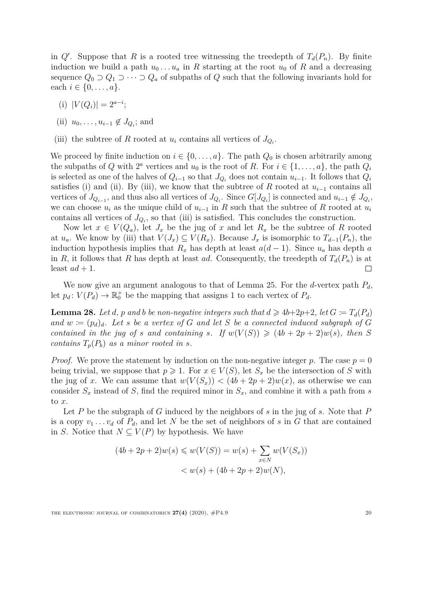in  $Q'$ . Suppose that *R* is a rooted tree witnessing the treedepth of  $T_d(P_n)$ . By finite induction we build a path  $u_0 \ldots u_a$  in R starting at the root  $u_0$  of R and a decreasing sequence  $Q_0 \supset Q_1 \supset \cdots \supset Q_a$  of subpaths of  $Q$  such that the following invariants hold for each  $i \in \{0, ..., a\}.$ 

- (i)  $|V(Q_i)| = 2^{a-i}$ ;
- (ii)  $u_0, \ldots, u_{i-1} \notin J_{Q_i}$ ; and
- (iii) the subtree of *R* rooted at  $u_i$  contains all vertices of  $J_{Q_i}$ .

We proceed by finite induction on  $i \in \{0, \ldots, a\}$ . The path  $Q_0$  is chosen arbitrarily among the subpaths of *Q* with  $2^a$  vertices and  $u_0$  is the root of *R*. For  $i \in \{1, \ldots, a\}$ , the path  $Q_i$ is selected as one of the halves of  $Q_{i-1}$  so that  $J_{Q_i}$  does not contain  $u_{i-1}$ . It follows that  $Q_i$ satisfies (i) and (ii). By (iii), we know that the subtree of *R* rooted at  $u_{i-1}$  contains all vertices of  $J_{Q_i-1}$ , and thus also all vertices of  $J_{Q_i}$ . Since  $G[J_{Q_i}]$  is connected and  $u_{i-1} \notin J_{Q_i}$ , we can choose  $u_i$  as the unique child of  $u_{i-1}$  in  $R$  such that the subtree of  $R$  rooted at  $u_i$ contains all vertices of  $J_{Q_i}$ , so that (iii) is satisfied. This concludes the construction.

Now let  $x \in V(Q_a)$ , let  $J_x$  be the jug of  $x$  and let  $R_x$  be the subtree of  $R$  rooted at  $u_a$ . We know by (iii) that  $V(J_x) \subseteq V(R_x)$ . Because  $J_x$  is isomorphic to  $T_{d-1}(P_n)$ , the induction hypothesis implies that  $R_x$  has depth at least  $a(d-1)$ . Since  $u_a$  has depth *a* in *R*, it follows that *R* has depth at least *ad*. Consequently, the treedepth of  $T_d(P_n)$  is at least  $ad + 1$ .  $\Box$ 

We now give an argument analogous to that of Lemma [25.](#page-17-4) For the *d*-vertex path *Pd*, let  $p_d$ :  $V(P_d) \to \mathbb{R}_0^+$  be the mapping that assigns 1 to each vertex of  $P_d$ .

<span id="page-19-0"></span>**Lemma 28.** Let *d*, *p* and *b be non-negative integers such that*  $d \geq 4b+2p+2$ , let  $G := T_d(P_d)$ *and*  $w := (p_d)_d$ *. Let s be a vertex of G and let S be a connected induced subgraph of G contained in the jug of s and containing s. If*  $w(V(S)) \geq (4b + 2p + 2)w(s)$ , then *S contains*  $T_p(P_b)$  *as a minor rooted in s.* 

*Proof.* We prove the statement by induction on the non-negative integer p. The case  $p = 0$ being trivial, we suppose that  $p \geq 1$ . For  $x \in V(S)$ , let  $S_x$  be the intersection of S with the jug of *x*. We can assume that  $w(V(S_x)) < (4b + 2p + 2)w(x)$ , as otherwise we can consider  $S_x$  instead of *S*, find the required minor in  $S_x$ , and combine it with a path from *s* to *x*.

Let *P* be the subgraph of *G* induced by the neighbors of *s* in the jug of *s*. Note that *P* is a copy  $v_1 \ldots v_d$  of  $P_d$ , and let N be the set of neighbors of s in G that are contained in *S*. Notice that  $N \subseteq V(P)$  by hypothesis. We have

$$
(4b + 2p + 2)w(s) \leq w(V(S)) = w(s) + \sum_{x \in N} w(V(S_x))
$$
  

$$
< w(s) + (4b + 2p + 2)w(N),
$$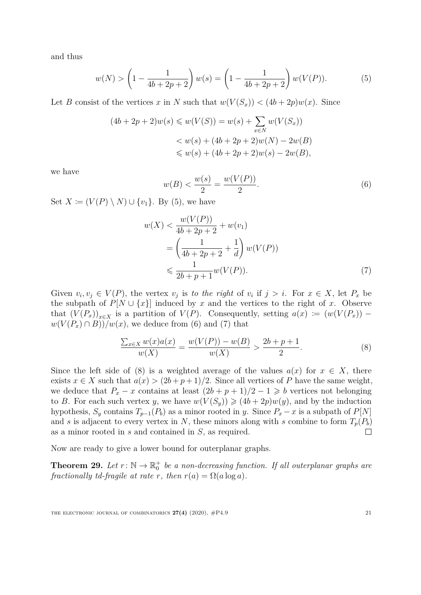and thus

<span id="page-20-1"></span>
$$
w(N) > \left(1 - \frac{1}{4b + 2p + 2}\right)w(s) = \left(1 - \frac{1}{4b + 2p + 2}\right)w(V(P)).
$$
 (5)

Let *B* consist of the vertices *x* in *N* such that  $w(V(S_x)) < (4b + 2p)w(x)$ . Since

$$
(4b + 2p + 2)w(s) \leq w(V(S)) = w(s) + \sum_{x \in N} w(V(S_x))
$$
  

$$
< w(s) + (4b + 2p + 2)w(N) - 2w(B)
$$
  

$$
\leq w(s) + (4b + 2p + 2)w(s) - 2w(B),
$$

<span id="page-20-2"></span>we have

<span id="page-20-3"></span>
$$
w(B) < \frac{w(s)}{2} = \frac{w(V(P))}{2}.\tag{6}
$$

Set  $X := (V(P) \setminus N) \cup \{v_1\}$ . By [\(5\)](#page-20-1), we have

$$
w(X) < \frac{w(V(P))}{4b + 2p + 2} + w(v_1)
$$
\n
$$
= \left(\frac{1}{4b + 2p + 2} + \frac{1}{d}\right) w(V(P))
$$
\n
$$
\leq \frac{1}{2b + p + 1} w(V(P)). \tag{7}
$$

Given  $v_i, v_j \in V(P)$ , the vertex  $v_j$  is to the right of  $v_i$  if  $j > i$ . For  $x \in X$ , let  $P_x$  be the subpath of  $P[N \cup \{x\}]$  induced by *x* and the vertices to the right of *x*. Observe that  $(V(P_x))_{x\in X}$  is a partition of  $V(P)$ . Consequently, setting  $a(x) := (w(V(P_x)) - w)$  $w(V(P_x) \cap B)$ ) $/w(x)$ , we deduce from [\(6\)](#page-20-2) and [\(7\)](#page-20-3) that

<span id="page-20-4"></span>
$$
\frac{\sum_{x \in X} w(x)a(x)}{w(X)} = \frac{w(V(P)) - w(B)}{w(X)} > \frac{2b + p + 1}{2}.
$$
 (8)

Since the left side of [\(8\)](#page-20-4) is a weighted average of the values  $a(x)$  for  $x \in X$ , there exists  $x \in X$  such that  $a(x) > (2b + p + 1)/2$ . Since all vertices of *P* have the same weight, we deduce that  $P_x - x$  contains at least  $(2b + p + 1)/2 - 1 \geq b$  vertices not belonging to *B*. For each such vertex *y*, we have  $w(V(S_y)) \geq (4b + 2p)w(y)$ , and by the induction hypothesis,  $S_y$  contains  $T_{p-1}(P_b)$  as a minor rooted in *y*. Since  $P_x - x$  is a subpath of  $P[N]$ and *s* is adjacent to every vertex in *N*, these minors along with *s* combine to form  $T_p(P_b)$ as a minor rooted in *s* and contained in *S*, as required.  $\Box$ 

Now are ready to give a lower bound for outerplanar graphs.

<span id="page-20-0"></span>**Theorem 29.** Let  $r: \mathbb{N} \to \mathbb{R}_0^+$  be a non-decreasing function. If all outerplanar graphs are *fractionally td-fragile at rate r, then*  $r(a) = \Omega(a \log a)$ *.* 

THE ELECTRONIC JOURNAL OF COMBINATORICS  $27(4)$  (2020),  $\#P4.9$  21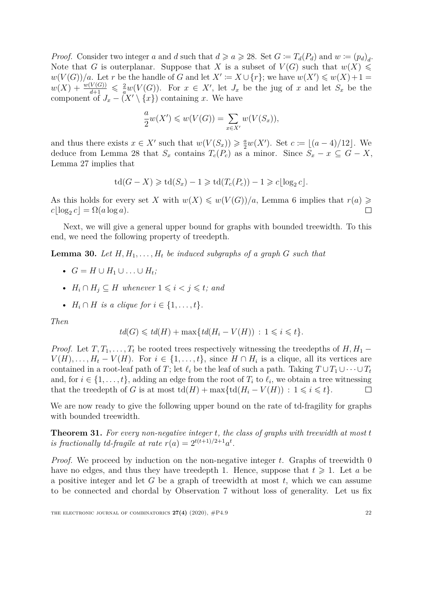*Proof.* Consider two integer *a* and *d* such that  $d \ge a \ge 28$ . Set  $G := T_d(P_d)$  and  $w := (p_d)_d$ . Note that *G* is outerplanar. Suppose that *X* is a subset of  $V(G)$  such that  $w(X) \leq$  $w(V(G))/a$ . Let *r* be the handle of *G* and let  $X' := X \cup \{r\}$ ; we have  $w(X') \leq w(X) + 1 =$  $w(X) + \frac{w(V(G))}{d+1} \leq \frac{2}{a}w(V(G))$ . For  $x \in X'$ , let  $J_x$  be the jug of  $x$  and let  $S_x$  be the component of  $J_x - (X' \setminus \{x\})$  containing *x*. We have

$$
\frac{a}{2}w(X') \leq w(V(G)) = \sum_{x \in X'} w(V(S_x)),
$$

and thus there exists  $x \in X'$  such that  $w(V(S_x)) \geq \frac{a}{2}w(X')$ . Set  $c := \lfloor (a-4)/12 \rfloor$ . We deduce from Lemma [28](#page-19-0) that  $S_x$  contains  $T_c(P_c)$  as a minor. Since  $S_x - x \subseteq G - X$ , Lemma [27](#page-18-1) implies that

$$
td(G - X) \geqslant td(S_x) - 1 \geqslant td(T_c(P_c)) - 1 \geqslant c\lfloor \log_2 c \rfloor.
$$

As this holds for every set *X* with  $w(X) \leq w(V(G))/a$ , Lemma [6](#page-5-3) implies that  $r(a) \geq$  $c\lfloor \log_2 c \rfloor = \Omega(a \log a).$  $\Box$ 

Next, we will give a general upper bound for graphs with bounded treewidth. To this end, we need the following property of treedepth.

<span id="page-21-1"></span>**Lemma 30.** Let  $H, H_1, \ldots, H_t$  be induced subgraphs of a graph  $G$  such that

- $\bullet$  *G* = *H* ∪ *H*<sub>1</sub></sub> ∪  $\ldots$  ∪ *H*<sub>t</sub>;
- $H_i \cap H_j \subseteq H$  whenever  $1 \leq i < j \leq t$ ; and
- $H_i \cap H$  *is a clique for*  $i \in \{1, ..., t\}$ *.*

*Then*

$$
td(G) \leqslant td(H) + \max\{td(H_i - V(H)) : 1 \leqslant i \leqslant t\}.
$$

*Proof.* Let  $T, T_1, \ldots, T_t$  be rooted trees respectively witnessing the treedepths of  $H, H_1$  −  $V(H), \ldots, H_t - V(H)$ . For  $i \in \{1, \ldots, t\}$ , since  $H \cap H_i$  is a clique, all its vertices are contained in a root-leaf path of *T*; let  $\ell_i$  be the leaf of such a path. Taking  $T \cup T_1 \cup \cdots \cup T_t$ and, for  $i \in \{1, \ldots, t\}$ , adding an edge from the root of  $T_i$  to  $\ell_i$ , we obtain a tree witnessing that the treedepth of *G* is at most  $\text{td}(H) + \max\{\text{td}(H_i - V(H)) : 1 \leq i \leq t\}.$  $\Box$ 

We are now ready to give the following upper bound on the rate of td-fragility for graphs with bounded treewidth.

<span id="page-21-0"></span>**Theorem 31.** *For every non-negative integer t, the class of graphs with treewidth at most t is fractionally td-fragile at rate*  $r(a) = 2^{t(t+1)/2+1}a^t$ .

*Proof.* We proceed by induction on the non-negative integer *t*. Graphs of treewidth 0 have no edges, and thus they have treedepth 1. Hence, suppose that  $t \geq 1$ . Let *a* be a positive integer and let *G* be a graph of treewidth at most *t*, which we can assume to be connected and chordal by Observation [7](#page-6-0) without loss of generality. Let us fix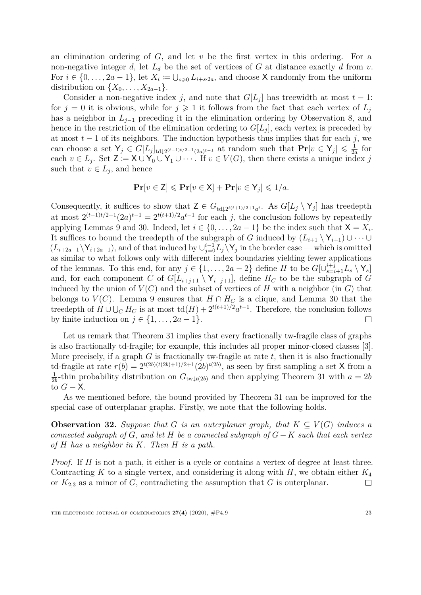an elimination ordering of *G*, and let *v* be the first vertex in this ordering. For a non-negative integer  $d$ , let  $L_d$  be the set of vertices of  $G$  at distance exactly  $d$  from  $v$ . For  $i \in \{0, \ldots, 2a-1\}$ , let  $X_i := \bigcup_{s \geq 0} L_{i+s \cdot 2a}$ , and choose X randomly from the uniform distribution on  $\{X_0, \ldots, X_{2a-1}\}.$ 

Consider a non-negative index *j*, and note that  $G[L_j]$  has treewidth at most  $t-1$ : for  $j = 0$  it is obvious, while for  $j \geq 1$  it follows from the fact that each vertex of  $L_j$ has a neighbor in *Lj*−<sup>1</sup> preceding it in the elimination ordering by Observation [8,](#page-6-1) and hence in the restriction of the elimination ordering to  $G[L_j]$ , each vertex is preceded by at most  $t-1$  of its neighbors. The induction hypothesis thus implies that for each  $j$ , we can choose a set  $Y_j \in G[L_j]_{\frac{1}{2}(t-1)t/2+1}(2a)^{t-1}$  at random such that  $\Pr[v \in Y_j] \leq \frac{1}{2a}$  $rac{1}{2a}$  for each  $v \in L_j$ . Set  $\mathsf{Z} := \mathsf{X} \cup \mathsf{Y}_0 \cup \mathsf{Y}_1 \cup \cdots$ . If  $v \in V(G)$ , then there exists a unique index *j* such that  $v \in L_j$ , and hence

$$
\mathbf{Pr}[v \in \mathbf{Z}] \leqslant \mathbf{Pr}[v \in \mathsf{X}] + \mathbf{Pr}[v \in \mathsf{Y}_j] \leqslant 1/a.
$$

Consequently, it suffices to show that  $Z \in G_{\text{td}\downarrow 2^{t(t+1)/2+1}a^t}$ . As  $G[L_j \setminus Y_j]$  has treedepth at most  $2^{(t-1)t/2+1}(2a)^{t-1} = 2^{t(t+1)/2}a^{t-1}$  for each *j*, the conclusion follows by repeatedly applying Lemmas [9](#page-6-2) and [30.](#page-21-1) Indeed, let  $i \in \{0, \ldots, 2a-1\}$  be the index such that  $\mathsf{X} = X_i$ . It suffices to bound the treedepth of the subgraph of *G* induced by  $(L_{i+1} \setminus Y_{i+1}) \cup \cdots \cup$  $(L_{i+2a-1} \ Y_{i+2a-1})$ , and of that induced by  $\bigcup_{j=0}^{i-1} L_j \ Y_j$  in the border case — which is omitted as similar to what follows only with different index boundaries yielding fewer applications of the lemmas. To this end, for any  $j \in \{1, ..., 2a-2\}$  define *H* to be  $G[\cup_{s=i+1}^{i+j} L_s \setminus Y_s]$ and, for each component *C* of  $G[L_{i+j+1} \setminus Y_{i+j+1}]$ , define  $H_C$  to be the subgraph of *G* induced by the union of  $V(C)$  and the subset of vertices of *H* with a neighbor (in *G*) that belongs to *V*(*C*). Lemma [9](#page-6-2) ensures that  $H \cap H_C$  is a clique, and Lemma [30](#page-21-1) that the treedepth of  $H \cup \bigcup_C H_C$  is at most  $\text{td}(H) + 2^{t(t+1)/2} a^{t-1}$ . Therefore, the conclusion follows by finite induction on  $j \in \{1, \ldots, 2a-1\}.$  $\Box$ 

Let us remark that Theorem [31](#page-21-0) implies that every fractionally tw-fragile class of graphs is also fractionally td-fragile; for example, this includes all proper minor-closed classes [\[3\]](#page-25-11). More precisely, if a graph *G* is fractionally tw-fragile at rate *t*, then it is also fractionally td-fragile at rate  $r(b) = 2^{t(2b)(t(2b)+1)/2+1}(2b)^{t(2b)}$ , as seen by first sampling a set X from a 1  $\frac{1}{2b}$ -thin probability distribution on  $G_{\text{tw}\downarrow t(2b)}$  and then applying Theorem [31](#page-21-0) with  $a=2b$ to  $G - X$ .

As we mentioned before, the bound provided by Theorem [31](#page-21-0) can be improved for the special case of outerplanar graphs. Firstly, we note that the following holds.

<span id="page-22-0"></span>**Observation 32.** Suppose that *G* is an outerplanar graph, that  $K \subseteq V(G)$  induces a *connected subgraph of G, and let H be a connected subgraph of G*− *K such that each vertex of H has a neighbor in K. Then H is a path.*

*Proof.* If *H* is not a path, it either is a cycle or contains a vertex of degree at least three. Contracting *K* to a single vertex, and considering it along with *H*, we obtain either *K*<sup>4</sup> or  $K_{2,3}$  as a minor of *G*, contradicting the assumption that *G* is outerplanar.  $\Box$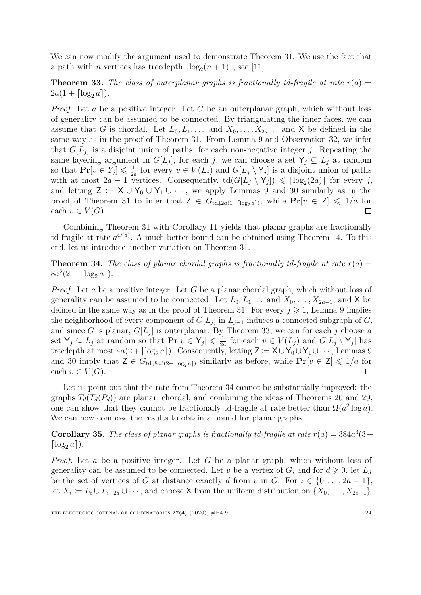We can now modify the argument used to demonstrate Theorem [31.](#page-21-0) We use the fact that a path with *n* vertices has treedepth  $\lceil \log_2(n+1) \rceil$ , see [\[11\]](#page-25-10).

<span id="page-23-0"></span>**Theorem 33.** The class of outerplanar graphs is fractionally td-fragile at rate  $r(a)$  =  $2a(1 + \lceil \log_2 a \rceil).$ 

*Proof.* Let *a* be a positive integer. Let *G* be an outerplanar graph, which without loss of generality can be assumed to be connected. By triangulating the inner faces, we can assume that *G* is chordal. Let  $L_0, L_1, \ldots$  and  $X_0, \ldots, X_{2a-1}$ , and **X** be defined in the same way as in the proof of Theorem [31.](#page-21-0) From Lemma [9](#page-6-2) and Observation [32,](#page-22-0) we infer that  $G[L_j]$  is a disjoint union of paths, for each non-negative integer *j*. Repeating the same layering argument in  $G[L_j]$ , for each *j*, we can choose a set  $Y_j \subseteq L_j$  at random so that  $\mathbf{Pr}[v \in Y_j] \leq \frac{1}{2\epsilon}$  $\frac{1}{2a}$  for every  $v \in V(L_j)$  and  $G[L_j \setminus Y_j]$  is a disjoint union of paths with at most  $2a - 1$  vertices. Consequently,  $\text{td}(G[\tilde{L}_j \setminus Y_j]) \leq \lceil \log_2(2a) \rceil$  for every *j*, and letting  $Z = X \cup Y_0 \cup Y_1 \cup \cdots$ , we apply Lemmas [9](#page-6-2) and [30](#page-21-1) similarly as in the proof of Theorem [31](#page-21-0) to infer that  $Z \in G_{\text{td}\downarrow 2a(1+\lceil \log_2 a \rceil)}$ , while  $\Pr[v \in \mathbb{Z}] \leq 1/a$  for each  $v \in V(G)$ .  $\Box$ 

Combining Theorem [31](#page-21-0) with Corollary [11](#page-7-0) yields that planar graphs are fractionally td-fragile at rate  $a^{O(a)}$ . A much better bound can be obtained using Theorem [14.](#page-8-3) To this end, let us introduce another variation on Theorem [31.](#page-21-0)

<span id="page-23-2"></span>**Theorem 34.** The class of planar chordal graphs is fractionally td-fragile at rate  $r(a)$  =  $8a^2(2 + \lceil \log_2 a \rceil).$ 

*Proof.* Let *a* be a positive integer. Let *G* be a planar chordal graph, which without loss of generality can be assumed to be connected. Let  $L_0, L_1, \ldots$  and  $X_0, \ldots, X_{2a-1}$ , and X be defined in the same way as in the proof of Theorem [31.](#page-21-0) For every  $j \geq 1$ , Lemma [9](#page-6-2) implies the neighborhood of every component of  $G[L_j]$  in  $L_{j-1}$  induces a connected subgraph of  $G$ , and since *G* is planar,  $G[L_j]$  is outerplanar. By Theorem [33,](#page-23-0) we can for each *j* choose a set  $Y_j \subseteq L_j$  at random so that  $\mathbf{Pr}[v \in Y_j] \leq \frac{1}{2}$  $\frac{1}{2a}$  for each  $v \in V(L_j)$  and  $G[L_j \setminus Y_j]$  has treedepth at most  $4a(2 + \lceil \log_2 a \rceil)$ . Consequently, letting  $\mathsf{Z} := \mathsf{X} \cup \mathsf{Y}_0 \cup \mathsf{Y}_1 \cup \cdots$ , Lemmas [9](#page-6-2) and [30](#page-21-1) imply that  $\mathsf{Z} \in G_{\text{td}\downarrow 8a^2(2 + \lceil \log_2 a \rceil)}$  similarly as before, while  $\mathbf{Pr}[v \in \mathsf{Z}] \leq 1/a$  for each  $v \in V(G)$ . П

Let us point out that the rate from Theorem [34](#page-23-2) cannot be substantially improved: the graphs  $T_d(T_d(P_d))$  are planar, chordal, and combining the ideas of Theorems [26](#page-18-0) and [29,](#page-20-0) one can show that they cannot be fractionally td-fragile at rate better than  $\Omega(a^2 \log a)$ . We can now compose the results to obtain a bound for planar graphs.

<span id="page-23-1"></span>**Corollary 35.** The class of planar graphs is fractionally td-fragile at rate  $r(a) = 384a^3(3 +$  $\lceil \log_2 a \rceil$ ).

*Proof.* Let *a* be a positive integer. Let *G* be a planar graph, which without loss of generality can be assumed to be connected. Let *v* be a vertex of *G*, and for  $d \geq 0$ , let  $L_d$ be the set of vertices of *G* at distance exactly *d* from *v* in *G*. For  $i \in \{0, \ldots, 2a - 1\}$ , let  $X_i := L_i \cup L_{i+2a} \cup \cdots$ , and choose X from the uniform distribution on  $\{X_0, \ldots, X_{2a-1}\}.$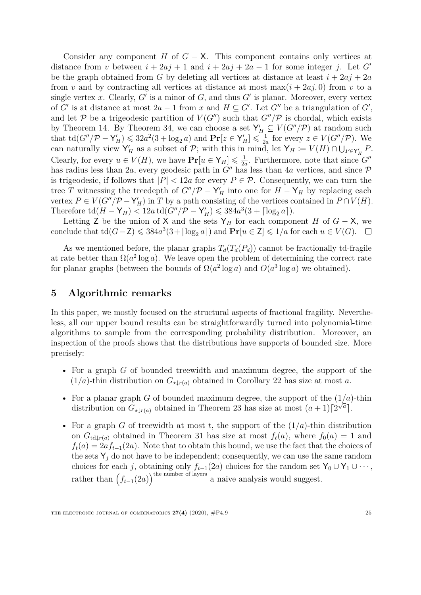Consider any component *H* of  $G - X$ . This component contains only vertices at distance from *v* between  $i + 2a j + 1$  and  $i + 2a j + 2a - 1$  for some integer *j*. Let *G'* be the graph obtained from *G* by deleting all vertices at distance at least  $i + 2aj + 2a$ from *v* and by contracting all vertices at distance at most  $\max(i + 2aj, 0)$  from *v* to a single vertex  $x$ . Clearly,  $G'$  is a minor of  $G$ , and thus  $G'$  is planar. Moreover, every vertex of *G'* is at distance at most  $2a - 1$  from *x* and  $H \subseteq G'$ . Let *G''* be a triangulation of *G'*, and let P be a trigeodesic partition of  $V(G'')$  such that  $G''/P$  is chordal, which exists by Theorem [14.](#page-8-3) By Theorem [34,](#page-23-2) we can choose a set  $Y'_H \subseteq V(G''/P)$  at random such that  $\text{td}(G''/\mathcal{P} - \mathsf{Y}'_H) \leqslant 32a^2(3 + \log_2 a)$  and  $\text{Pr}[z \in \mathsf{Y}'_H] \leqslant \frac{1}{2a}$  $\frac{1}{2a}$  for every  $z \in V(G''/\mathcal{P})$ . We can naturally view  $Y'_H$  as a subset of  $P$ ; with this in mind, let  $Y_H := V(H) \cap \bigcup_{P \in Y'_H} P$ . Clearly, for every  $u \in V(H)$ , we have  $\mathbf{Pr}[u \in Y_H] \leq \frac{1}{2d}$  $\frac{1}{2a}$ . Furthermore, note that since  $G''$ has radius less than 2*a*, every geodesic path in  $G''$  has less than 4*a* vertices, and since  $\mathcal P$ is trigeodesic, if follows that  $|P|$  < 12*a* for every  $P \in \mathcal{P}$ . Consequently, we can turn the tree *T* witnessing the treedepth of  $G''/P - Y'_H$  into one for  $H - Y_H$  by replacing each vertex  $P \in V(G''/P - Y'_H)$  in *T* by a path consisting of the vertices contained in  $P \cap V(H)$ . Therefore  $\text{td}(H - Y_H) < 12a \,\text{td}(G''/P - Y_H') \leq 384a^3(3 + \lceil \log_2 a \rceil).$ 

Letting Z be the union of X and the sets  $Y_H$  for each component *H* of *G* − X, we conclude that  $\text{td}(G - \mathsf{Z}) \leqslant 384a^3(3 + \lceil \log_2 a \rceil)$  and  $\Pr[u \in \mathsf{Z}] \leqslant 1/a$  for each  $u \in V(G)$ .

As we mentioned before, the planar graphs  $T_d(T_d(P_d))$  cannot be fractionally td-fragile at rate better than  $\Omega(a^2 \log a)$ . We leave open the problem of determining the correct rate for planar graphs (between the bounds of  $\Omega(a^2 \log a)$  and  $O(a^3 \log a)$  we obtained).

### **5 Algorithmic remarks**

In this paper, we mostly focused on the structural aspects of fractional fragility. Nevertheless, all our upper bound results can be straightforwardly turned into polynomial-time algorithms to sample from the corresponding probability distribution. Moreover, an inspection of the proofs shows that the distributions have supports of bounded size. More precisely:

- For a graph *G* of bounded treewidth and maximum degree, the support of the  $(1/a)$ -thin distribution on  $G_{\star l r(a)}$  obtained in Corollary [22](#page-14-0) has size at most *a*.
- For a planar graph *G* of bounded maximum degree, the support of the  $(1/a)$ -thin distribution on  $G_{\star\downarrow r(a)}$  obtained in Theorem [23](#page-14-1) has size at most  $(a+1)\lceil 2^{\sqrt{a}}\rceil$ .
- For a graph *G* of treewidth at most *t*, the support of the  $(1/a)$ -thin distribution on  $G_{\text{td},r(a)}$  obtained in Theorem [31](#page-21-0) has size at most  $f_t(a)$ , where  $f_0(a) = 1$  and  $f_t(a) = 2af_{t-1}(2a)$ . Note that to obtain this bound, we use the fact that the choices of the sets  $Y_i$  do not have to be independent; consequently, we can use the same random choices for each *j*, obtaining only  $f_{t-1}(2a)$  choices for the random set  $Y_0 \cup Y_1 \cup \cdots$ , rather than  $(f_{t-1}(2a))$ <sup>the number of layers</sup> a naive analysis would suggest.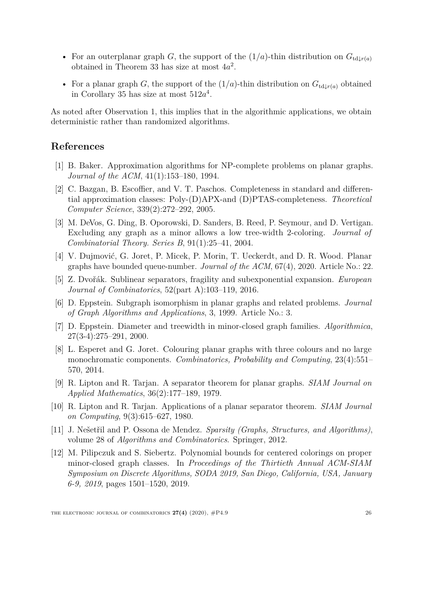- For an outerplanar graph *G*, the support of the  $(1/a)$ -thin distribution on  $G_{\text{td}}(r(a))$ obtained in Theorem [33](#page-23-0) has size at most 4*a* 2 .
- For a planar graph *G*, the support of the  $(1/a)$ -thin distribution on  $G_{td|r(a)}$  obtained in Corollary [35](#page-23-1) has size at most 512*a* 4 .

As noted after Observation [1,](#page-1-0) this implies that in the algorithmic applications, we obtain deterministic rather than randomized algorithms.

# **References**

- <span id="page-25-0"></span>[1] B. Baker. Approximation algorithms for NP-complete problems on planar graphs. *Journal of the ACM*, 41(1):153–180, 1994.
- <span id="page-25-2"></span>[2] C. Bazgan, B. Escoffier, and V. T. Paschos. Completeness in standard and differential approximation classes: Poly-(D)APX-and (D)PTAS-completeness. *Theoretical Computer Science*, 339(2):272–292, 2005.
- <span id="page-25-11"></span>[3] M. DeVos, G. Ding, B. Oporowski, D. Sanders, B. Reed, P. Seymour, and D. Vertigan. Excluding any graph as a minor allows a low tree-width 2-coloring. *Journal of Combinatorial Theory. Series B*, 91(1):25–41, 2004.
- <span id="page-25-7"></span>[4] V. Dujmović, G. Joret, P. Micek, P. Morin, T. Ueckerdt, and D. R. Wood. Planar graphs have bounded queue-number. *Journal of the ACM*, 67(4), 2020. Article No.: 22.
- <span id="page-25-1"></span>[5] Z. Dvořák. Sublinear separators, fragility and subexponential expansion. *European Journal of Combinatorics*, 52(part A):103–119, 2016.
- <span id="page-25-4"></span>[6] D. Eppstein. Subgraph isomorphism in planar graphs and related problems. *Journal of Graph Algorithms and Applications*, 3, 1999. Article No.: 3.
- <span id="page-25-5"></span>[7] D. Eppstein. Diameter and treewidth in minor-closed graph families. *Algorithmica*, 27(3-4):275–291, 2000.
- <span id="page-25-8"></span>[8] L. Esperet and G. Joret. Colouring planar graphs with three colours and no large monochromatic components. *Combinatorics, Probability and Computing*, 23(4):551– 570, 2014.
- <span id="page-25-9"></span>[9] R. Lipton and R. Tarjan. A separator theorem for planar graphs. *SIAM Journal on Applied Mathematics*, 36(2):177–189, 1979.
- <span id="page-25-3"></span>[10] R. Lipton and R. Tarjan. Applications of a planar separator theorem. *SIAM Journal on Computing*, 9(3):615–627, 1980.
- <span id="page-25-10"></span>[11] J. Nešetřil and P. Ossona de Mendez. *Sparsity (Graphs, Structures, and Algorithms)*, volume 28 of *Algorithms and Combinatorics*. Springer, 2012.
- <span id="page-25-6"></span>[12] M. Pilipczuk and S. Siebertz. Polynomial bounds for centered colorings on proper minor-closed graph classes. In *Proceedings of the Thirtieth Annual ACM-SIAM Symposium on Discrete Algorithms, SODA 2019, San Diego, California, USA, January 6-9, 2019*, pages 1501–1520, 2019.